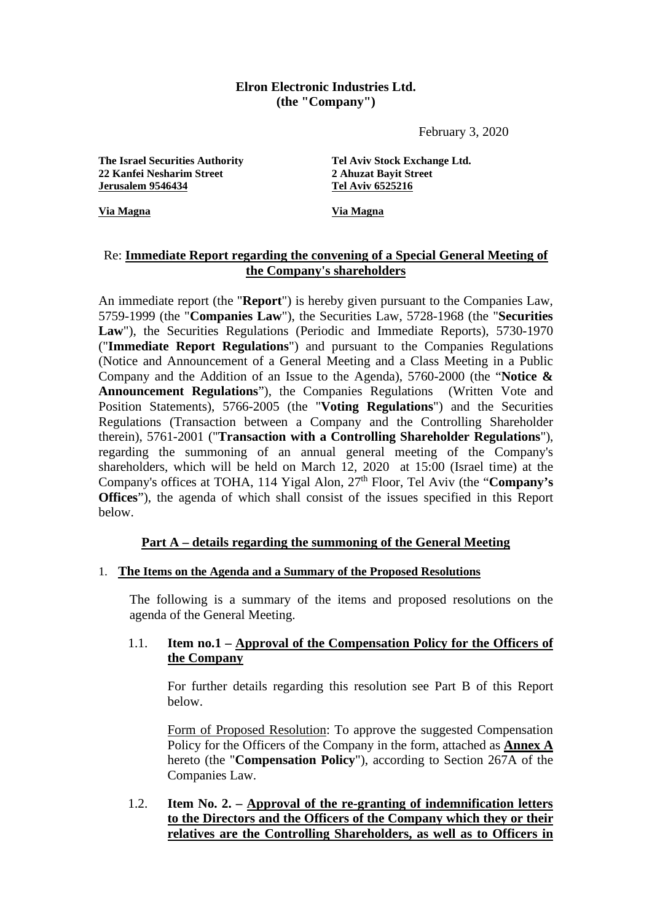#### **Elron Electronic Industries Ltd. (the "Company")**

February 3, 2020

The Israel Securities Authority<br>
22 Kanfei Nesharim Street<br>
23 Ahuzat Bavit Street<br>
24 Ahuzat Bavit Street **22 Kanfei Nesharim Street 2 Ahuzat Bayit Street Jerusalem 9546434** 

**Via Magna Via Magna**

## Re: **Immediate Report regarding the convening of a Special General Meeting of the Company's shareholders**

An immediate report (the "**Report**") is hereby given pursuant to the Companies Law, 5759-1999 (the "**Companies Law**"), the Securities Law, 5728-1968 (the "**Securities**  Law"), the Securities Regulations (Periodic and Immediate Reports), 5730-1970 ("**Immediate Report Regulations**") and pursuant to the Companies Regulations (Notice and Announcement of a General Meeting and a Class Meeting in a Public Company and the Addition of an Issue to the Agenda), 5760-2000 (the "**Notice & Announcement Regulations**"), the Companies Regulations (Written Vote and Position Statements), 5766-2005 (the "**Voting Regulations**") and the Securities Regulations (Transaction between a Company and the Controlling Shareholder therein), 5761-2001 ("**Transaction with a Controlling Shareholder Regulations**"), regarding the summoning of an annual general meeting of the Company's shareholders, which will be held on March 12, 2020 at 15:00 (Israel time) at the Company's offices at TOHA, 114 Yigal Alon, 27th Floor, Tel Aviv (the "**Company's Offices**"), the agenda of which shall consist of the issues specified in this Report below.

## **Part A – details regarding the summoning of the General Meeting**

#### 1. **The Items on the Agenda and a Summary of the Proposed Resolutions**

The following is a summary of the items and proposed resolutions on the agenda of the General Meeting.

### 1.1. **Item no.1 – Approval of the Compensation Policy for the Officers of the Company**

For further details regarding this resolution see Part B of this Report below.

Form of Proposed Resolution: To approve the suggested Compensation Policy for the Officers of the Company in the form, attached as **Annex A** hereto (the "**Compensation Policy**"), according to Section 267A of the Companies Law.

## 1.2. **Item No. 2. – Approval of the re-granting of indemnification letters to the Directors and the Officers of the Company which they or their relatives are the Controlling Shareholders, as well as to Officers in**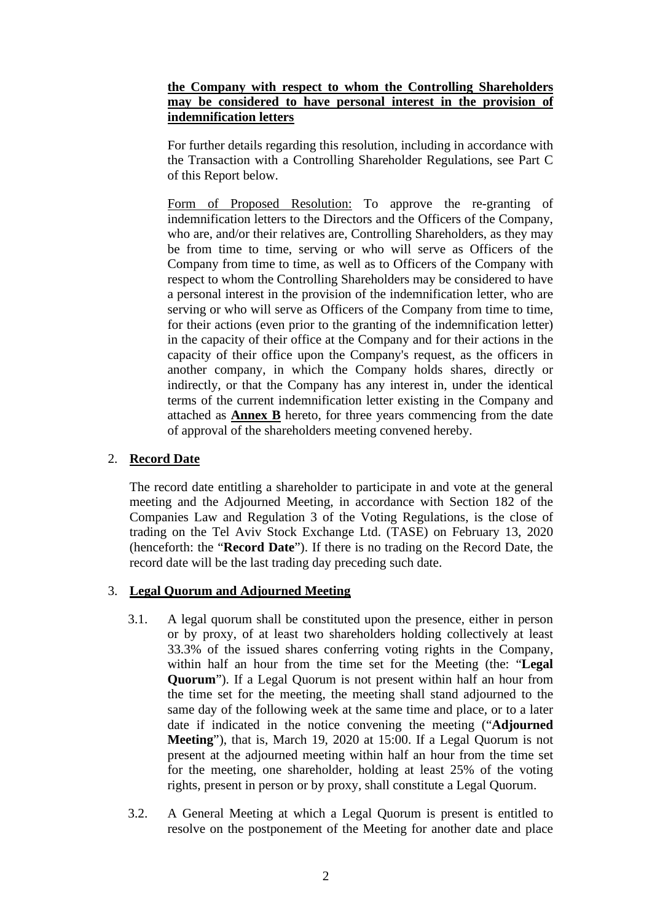### **the Company with respect to whom the Controlling Shareholders may be considered to have personal interest in the provision of indemnification letters**

For further details regarding this resolution, including in accordance with the Transaction with a Controlling Shareholder Regulations, see Part C of this Report below.

Form of Proposed Resolution: To approve the re-granting of indemnification letters to the Directors and the Officers of the Company, who are, and/or their relatives are, Controlling Shareholders, as they may be from time to time, serving or who will serve as Officers of the Company from time to time, as well as to Officers of the Company with respect to whom the Controlling Shareholders may be considered to have a personal interest in the provision of the indemnification letter, who are serving or who will serve as Officers of the Company from time to time, for their actions (even prior to the granting of the indemnification letter) in the capacity of their office at the Company and for their actions in the capacity of their office upon the Company's request, as the officers in another company, in which the Company holds shares, directly or indirectly, or that the Company has any interest in, under the identical terms of the current indemnification letter existing in the Company and attached as **Annex B** hereto, for three years commencing from the date of approval of the shareholders meeting convened hereby.

## 2. **Record Date**

The record date entitling a shareholder to participate in and vote at the general meeting and the Adjourned Meeting, in accordance with Section 182 of the Companies Law and Regulation 3 of the Voting Regulations, is the close of trading on the Tel Aviv Stock Exchange Ltd. (TASE) on February 13, 2020 (henceforth: the "**Record Date**"). If there is no trading on the Record Date, the record date will be the last trading day preceding such date.

## 3. **Legal Quorum and Adjourned Meeting**

- 3.1. A legal quorum shall be constituted upon the presence, either in person or by proxy, of at least two shareholders holding collectively at least 33.3% of the issued shares conferring voting rights in the Company, within half an hour from the time set for the Meeting (the: "**Legal Quorum**"). If a Legal Quorum is not present within half an hour from the time set for the meeting, the meeting shall stand adjourned to the same day of the following week at the same time and place, or to a later date if indicated in the notice convening the meeting ("**Adjourned Meeting**"), that is, March 19, 2020 at 15:00. If a Legal Quorum is not present at the adjourned meeting within half an hour from the time set for the meeting, one shareholder, holding at least 25% of the voting rights, present in person or by proxy, shall constitute a Legal Quorum.
- 3.2. A General Meeting at which a Legal Quorum is present is entitled to resolve on the postponement of the Meeting for another date and place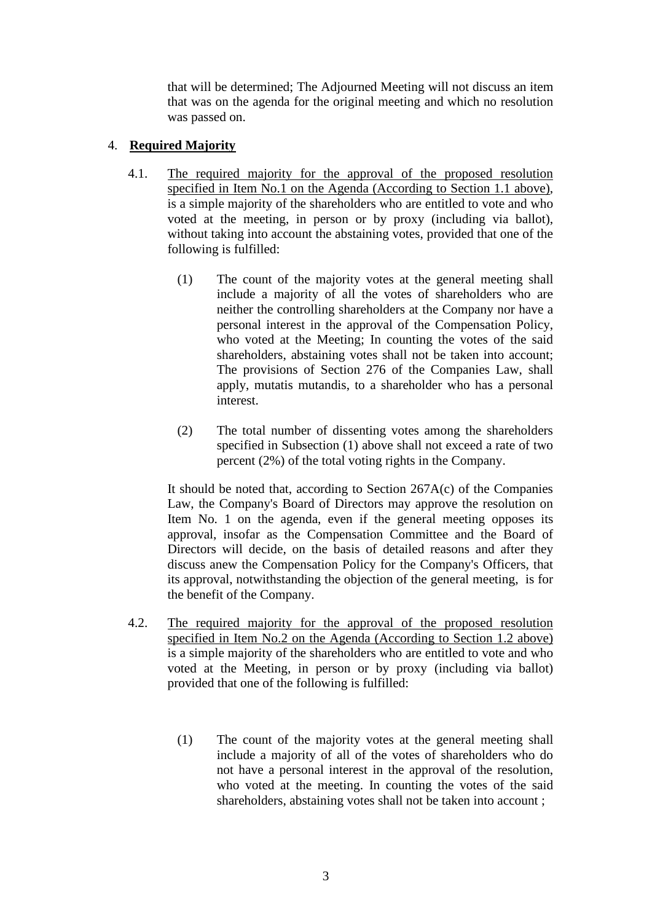that will be determined; The Adjourned Meeting will not discuss an item that was on the agenda for the original meeting and which no resolution was passed on.

## 4. **Required Majority**

- 4.1. The required majority for the approval of the proposed resolution specified in Item No.1 on the Agenda (According to Section 1.1 above), is a simple majority of the shareholders who are entitled to vote and who voted at the meeting, in person or by proxy (including via ballot), without taking into account the abstaining votes, provided that one of the following is fulfilled:
	- (1) The count of the majority votes at the general meeting shall include a majority of all the votes of shareholders who are neither the controlling shareholders at the Company nor have a personal interest in the approval of the Compensation Policy, who voted at the Meeting; In counting the votes of the said shareholders, abstaining votes shall not be taken into account; The provisions of Section 276 of the Companies Law, shall apply, mutatis mutandis, to a shareholder who has a personal interest.
	- (2) The total number of dissenting votes among the shareholders specified in Subsection (1) above shall not exceed a rate of two percent (2%) of the total voting rights in the Company.

It should be noted that, according to Section 267A(c) of the Companies Law, the Company's Board of Directors may approve the resolution on Item No. 1 on the agenda, even if the general meeting opposes its approval, insofar as the Compensation Committee and the Board of Directors will decide, on the basis of detailed reasons and after they discuss anew the Compensation Policy for the Company's Officers, that its approval, notwithstanding the objection of the general meeting, is for the benefit of the Company.

- 4.2. The required majority for the approval of the proposed resolution specified in Item No.2 on the Agenda (According to Section 1.2 above) is a simple majority of the shareholders who are entitled to vote and who voted at the Meeting, in person or by proxy (including via ballot) provided that one of the following is fulfilled:
	- (1) The count of the majority votes at the general meeting shall include a majority of all of the votes of shareholders who do not have a personal interest in the approval of the resolution, who voted at the meeting. In counting the votes of the said shareholders, abstaining votes shall not be taken into account ;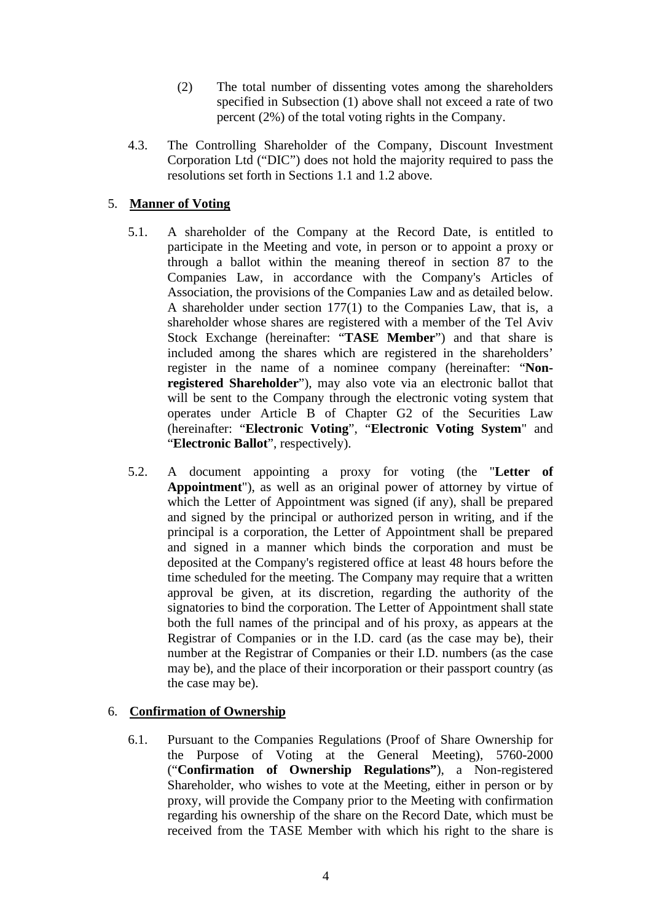- (2) The total number of dissenting votes among the shareholders specified in Subsection (1) above shall not exceed a rate of two percent (2%) of the total voting rights in the Company.
- 4.3. The Controlling Shareholder of the Company, Discount Investment Corporation Ltd ("DIC") does not hold the majority required to pass the resolutions set forth in Sections 1.1 and 1.2 above.

## 5. **Manner of Voting**

- 5.1. A shareholder of the Company at the Record Date, is entitled to participate in the Meeting and vote, in person or to appoint a proxy or through a ballot within the meaning thereof in section 87 to the Companies Law, in accordance with the Company's Articles of Association, the provisions of the Companies Law and as detailed below. A shareholder under section 177(1) to the Companies Law, that is, a shareholder whose shares are registered with a member of the Tel Aviv Stock Exchange (hereinafter: "**TASE Member**") and that share is included among the shares which are registered in the shareholders' register in the name of a nominee company (hereinafter: "**Nonregistered Shareholder**"), may also vote via an electronic ballot that will be sent to the Company through the electronic voting system that operates under Article B of Chapter G2 of the Securities Law (hereinafter: "**Electronic Voting**", "**Electronic Voting System**" and "**Electronic Ballot**", respectively).
- 5.2. A document appointing a proxy for voting (the "**Letter of Appointment**"), as well as an original power of attorney by virtue of which the Letter of Appointment was signed (if any), shall be prepared and signed by the principal or authorized person in writing, and if the principal is a corporation, the Letter of Appointment shall be prepared and signed in a manner which binds the corporation and must be deposited at the Company's registered office at least 48 hours before the time scheduled for the meeting. The Company may require that a written approval be given, at its discretion, regarding the authority of the signatories to bind the corporation. The Letter of Appointment shall state both the full names of the principal and of his proxy, as appears at the Registrar of Companies or in the I.D. card (as the case may be), their number at the Registrar of Companies or their I.D. numbers (as the case may be), and the place of their incorporation or their passport country (as the case may be).

#### 6. **Confirmation of Ownership**

6.1. Pursuant to the Companies Regulations (Proof of Share Ownership for the Purpose of Voting at the General Meeting), 5760-2000 ("**Confirmation of Ownership Regulations"**), a Non-registered Shareholder, who wishes to vote at the Meeting, either in person or by proxy, will provide the Company prior to the Meeting with confirmation regarding his ownership of the share on the Record Date, which must be received from the TASE Member with which his right to the share is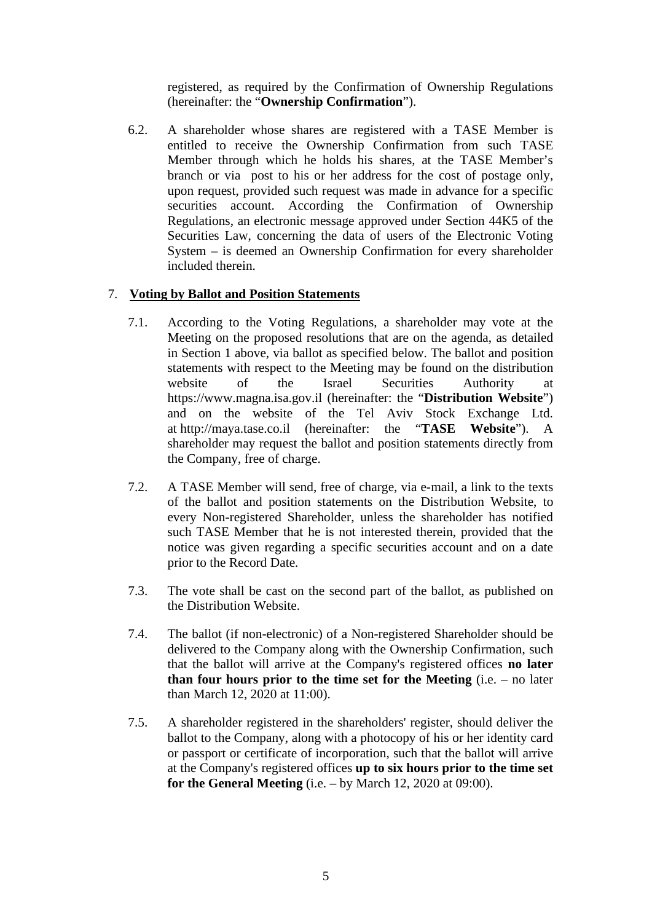registered, as required by the Confirmation of Ownership Regulations (hereinafter: the "**Ownership Confirmation**").

6.2. A shareholder whose shares are registered with a TASE Member is entitled to receive the Ownership Confirmation from such TASE Member through which he holds his shares, at the TASE Member's branch or via post to his or her address for the cost of postage only, upon request, provided such request was made in advance for a specific securities account. According the Confirmation of Ownership Regulations, an electronic message approved under Section 44K5 of the Securities Law, concerning the data of users of the Electronic Voting System – is deemed an Ownership Confirmation for every shareholder included therein.

## 7. **Voting by Ballot and Position Statements**

- 7.1. According to the Voting Regulations, a shareholder may vote at the Meeting on the proposed resolutions that are on the agenda, as detailed in Section 1 above, via ballot as specified below. The ballot and position statements with respect to the Meeting may be found on the distribution website of the Israel Securities Authority at [https://www.magna.isa.gov.il](https://www.magna.isa.gov.il/) (hereinafter: the "**Distribution Website**") and on the website of the Tel Aviv Stock Exchange Ltd. at [http://maya.tase.co.il](http://maya.tase.co.il/) (hereinafter: the "**TASE Website**"). A shareholder may request the ballot and position statements directly from the Company, free of charge.
- 7.2. A TASE Member will send, free of charge, via e-mail, a link to the texts of the ballot and position statements on the Distribution Website, to every Non-registered Shareholder, unless the shareholder has notified such TASE Member that he is not interested therein, provided that the notice was given regarding a specific securities account and on a date prior to the Record Date.
- 7.3. The vote shall be cast on the second part of the ballot, as published on the Distribution Website.
- 7.4. The ballot (if non-electronic) of a Non-registered Shareholder should be delivered to the Company along with the Ownership Confirmation, such that the ballot will arrive at the Company's registered offices **no later than four hours prior to the time set for the Meeting** (i.e. – no later than March 12, 2020 at 11:00).
- 7.5. A shareholder registered in the shareholders' register, should deliver the ballot to the Company, along with a photocopy of his or her identity card or passport or certificate of incorporation, such that the ballot will arrive at the Company's registered offices **up to six hours prior to the time set for the General Meeting** (i.e. – by March 12, 2020 at 09:00).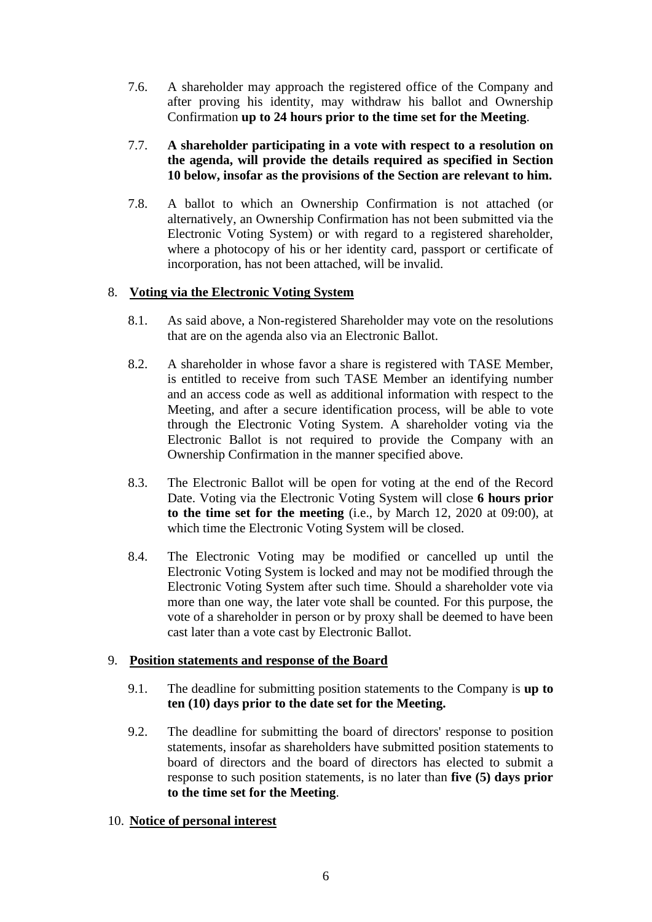7.6. A shareholder may approach the registered office of the Company and after proving his identity, may withdraw his ballot and Ownership Confirmation **up to 24 hours prior to the time set for the Meeting**.

## 7.7. **A shareholder participating in a vote with respect to a resolution on the agenda, will provide the details required as specified in Section 10 below, insofar as the provisions of the Section are relevant to him.**

7.8. A ballot to which an Ownership Confirmation is not attached (or alternatively, an Ownership Confirmation has not been submitted via the Electronic Voting System) or with regard to a registered shareholder, where a photocopy of his or her identity card, passport or certificate of incorporation, has not been attached, will be invalid.

## 8. **Voting via the Electronic Voting System**

- 8.1. As said above, a Non-registered Shareholder may vote on the resolutions that are on the agenda also via an Electronic Ballot.
- 8.2. A shareholder in whose favor a share is registered with TASE Member, is entitled to receive from such TASE Member an identifying number and an access code as well as additional information with respect to the Meeting, and after a secure identification process, will be able to vote through the Electronic Voting System. A shareholder voting via the Electronic Ballot is not required to provide the Company with an Ownership Confirmation in the manner specified above.
- 8.3. The Electronic Ballot will be open for voting at the end of the Record Date. Voting via the Electronic Voting System will close **6 hours prior to the time set for the meeting** (i.e., by March 12, 2020 at 09:00), at which time the Electronic Voting System will be closed.
- 8.4. The Electronic Voting may be modified or cancelled up until the Electronic Voting System is locked and may not be modified through the Electronic Voting System after such time. Should a shareholder vote via more than one way, the later vote shall be counted. For this purpose, the vote of a shareholder in person or by proxy shall be deemed to have been cast later than a vote cast by Electronic Ballot.

#### 9. **Position statements and response of the Board**

- 9.1. The deadline for submitting position statements to the Company is **up to ten (10) days prior to the date set for the Meeting.**
- 9.2. The deadline for submitting the board of directors' response to position statements, insofar as shareholders have submitted position statements to board of directors and the board of directors has elected to submit a response to such position statements, is no later than **five (5) days prior to the time set for the Meeting**.

### 10. **Notice of personal interest**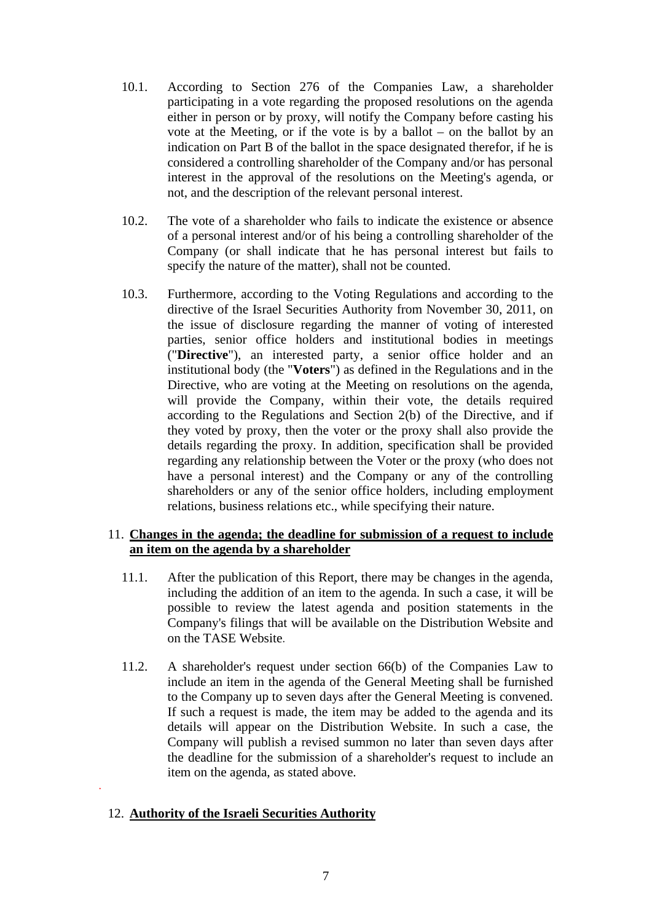- 10.1. According to Section 276 of the Companies Law, a shareholder participating in a vote regarding the proposed resolutions on the agenda either in person or by proxy, will notify the Company before casting his vote at the Meeting, or if the vote is by a ballot – on the ballot by an indication on Part B of the ballot in the space designated therefor, if he is considered a controlling shareholder of the Company and/or has personal interest in the approval of the resolutions on the Meeting's agenda, or not, and the description of the relevant personal interest.
- 10.2. The vote of a shareholder who fails to indicate the existence or absence of a personal interest and/or of his being a controlling shareholder of the Company (or shall indicate that he has personal interest but fails to specify the nature of the matter), shall not be counted.
- 10.3. Furthermore, according to the Voting Regulations and according to the directive of the Israel Securities Authority from November 30, 2011, on the issue of disclosure regarding the manner of voting of interested parties, senior office holders and institutional bodies in meetings ("**Directive**"), an interested party, a senior office holder and an institutional body (the "**Voters**") as defined in the Regulations and in the Directive, who are voting at the Meeting on resolutions on the agenda, will provide the Company, within their vote, the details required according to the Regulations and Section 2(b) of the Directive, and if they voted by proxy, then the voter or the proxy shall also provide the details regarding the proxy. In addition, specification shall be provided regarding any relationship between the Voter or the proxy (who does not have a personal interest) and the Company or any of the controlling shareholders or any of the senior office holders, including employment relations, business relations etc., while specifying their nature.

#### 11. **Changes in the agenda; the deadline for submission of a request to include an item on the agenda by a shareholder**

- 11.1. After the publication of this Report, there may be changes in the agenda, including the addition of an item to the agenda. In such a case, it will be possible to review the latest agenda and position statements in the Company's filings that will be available on the Distribution Website and on the TASE Website.
- 11.2. A shareholder's request under section 66(b) of the Companies Law to include an item in the agenda of the General Meeting shall be furnished to the Company up to seven days after the General Meeting is convened. If such a request is made, the item may be added to the agenda and its details will appear on the Distribution Website. In such a case, the Company will publish a revised summon no later than seven days after the deadline for the submission of a shareholder's request to include an item on the agenda, as stated above. .

#### 12. **Authority of the Israeli Securities Authority**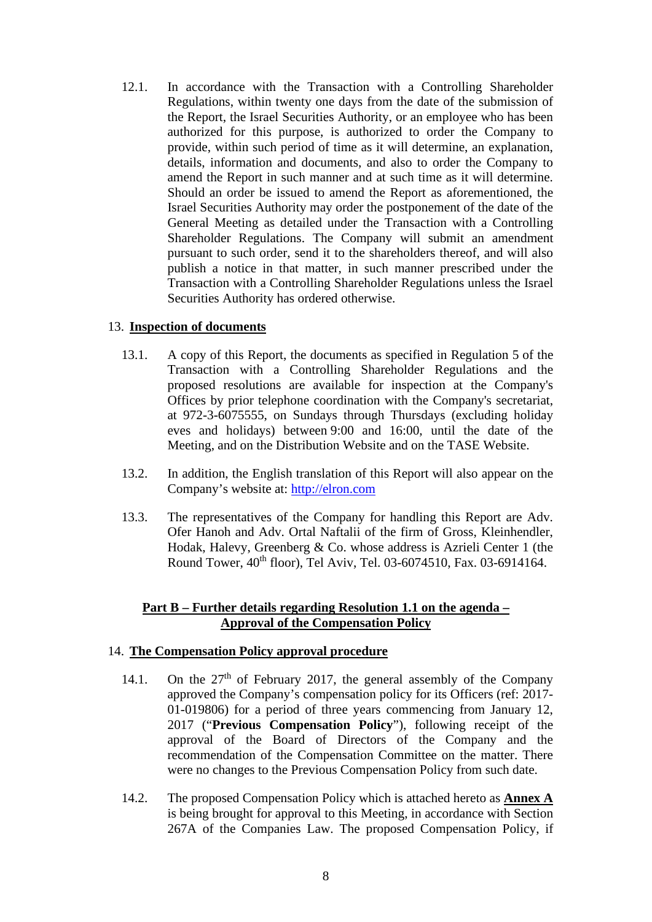12.1. In accordance with the Transaction with a Controlling Shareholder Regulations, within twenty one days from the date of the submission of the Report, the Israel Securities Authority, or an employee who has been authorized for this purpose, is authorized to order the Company to provide, within such period of time as it will determine, an explanation, details, information and documents, and also to order the Company to amend the Report in such manner and at such time as it will determine. Should an order be issued to amend the Report as aforementioned, the Israel Securities Authority may order the postponement of the date of the General Meeting as detailed under the Transaction with a Controlling Shareholder Regulations. The Company will submit an amendment pursuant to such order, send it to the shareholders thereof, and will also publish a notice in that matter, in such manner prescribed under the Transaction with a Controlling Shareholder Regulations unless the Israel Securities Authority has ordered otherwise.

#### 13. **Inspection of documents**

- 13.1. A copy of this Report, the documents as specified in Regulation 5 of the Transaction with a Controlling Shareholder Regulations and the proposed resolutions are available for inspection at the Company's Offices by prior telephone coordination with the Company's secretariat, at 972-3-6075555, on Sundays through Thursdays (excluding holiday eves and holidays) between 9:00 and 16:00, until the date of the Meeting, and on the Distribution Website and on the TASE Website.
- 13.2. In addition, the English translation of this Report will also appear on the Company's website at: [http://elron.com](http://elron.com/)
- 13.3. The representatives of the Company for handling this Report are Adv. Ofer Hanoh and Adv. Ortal Naftalii of the firm of Gross, Kleinhendler, Hodak, Halevy, Greenberg & Co. whose address is Azrieli Center 1 (the Round Tower, 40th floor), Tel Aviv, Tel. 03-6074510, Fax. 03-6914164.

#### **Part B – Further details regarding Resolution 1.1 on the agenda – Approval of the Compensation Policy**

#### 14. **The Compensation Policy approval procedure**

- 14.1. On the  $27<sup>th</sup>$  of February 2017, the general assembly of the Company approved the Company's compensation policy for its Officers (ref: 2017- 01-019806) for a period of three years commencing from January 12, 2017 ("**Previous Compensation Policy**"), following receipt of the approval of the Board of Directors of the Company and the recommendation of the Compensation Committee on the matter. There were no changes to the Previous Compensation Policy from such date.
- 14.2. The proposed Compensation Policy which is attached hereto as **Annex A** is being brought for approval to this Meeting, in accordance with Section 267A of the Companies Law. The proposed Compensation Policy, if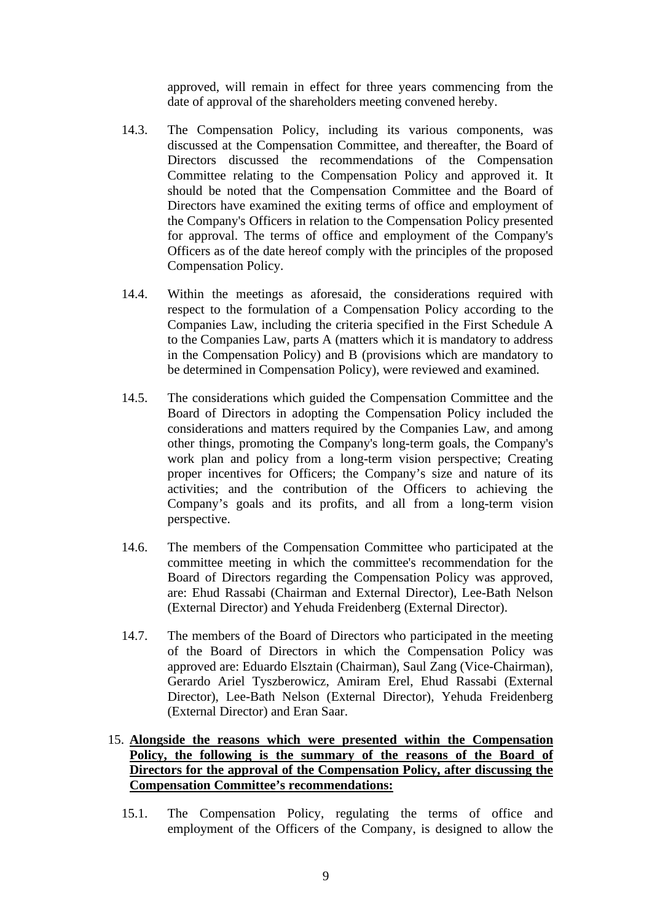approved, will remain in effect for three years commencing from the date of approval of the shareholders meeting convened hereby.

- 14.3. The Compensation Policy, including its various components, was discussed at the Compensation Committee, and thereafter, the Board of Directors discussed the recommendations of the Compensation Committee relating to the Compensation Policy and approved it. It should be noted that the Compensation Committee and the Board of Directors have examined the exiting terms of office and employment of the Company's Officers in relation to the Compensation Policy presented for approval. The terms of office and employment of the Company's Officers as of the date hereof comply with the principles of the proposed Compensation Policy.
- 14.4. Within the meetings as aforesaid, the considerations required with respect to the formulation of a Compensation Policy according to the Companies Law, including the criteria specified in the First Schedule A to the Companies Law, parts A (matters which it is mandatory to address in the Compensation Policy) and B (provisions which are mandatory to be determined in Compensation Policy), were reviewed and examined.
- 14.5. The considerations which guided the Compensation Committee and the Board of Directors in adopting the Compensation Policy included the considerations and matters required by the Companies Law, and among other things, promoting the Company's long-term goals, the Company's work plan and policy from a long-term vision perspective; Creating proper incentives for Officers; the Company's size and nature of its activities; and the contribution of the Officers to achieving the Company's goals and its profits, and all from a long-term vision perspective.
- 14.6. The members of the Compensation Committee who participated at the committee meeting in which the committee's recommendation for the Board of Directors regarding the Compensation Policy was approved, are: Ehud Rassabi (Chairman and External Director), Lee-Bath Nelson (External Director) and Yehuda Freidenberg (External Director).
- 14.7. The members of the Board of Directors who participated in the meeting of the Board of Directors in which the Compensation Policy was approved are: Eduardo Elsztain (Chairman), Saul Zang (Vice-Chairman), Gerardo Ariel Tyszberowicz, Amiram Erel, Ehud Rassabi (External Director), Lee-Bath Nelson (External Director), Yehuda Freidenberg (External Director) and Eran Saar.

## 15. **Alongside the reasons which were presented within the Compensation Policy, the following is the summary of the reasons of the Board of Directors for the approval of the Compensation Policy, after discussing the Compensation Committee's recommendations:**

15.1. The Compensation Policy, regulating the terms of office and employment of the Officers of the Company, is designed to allow the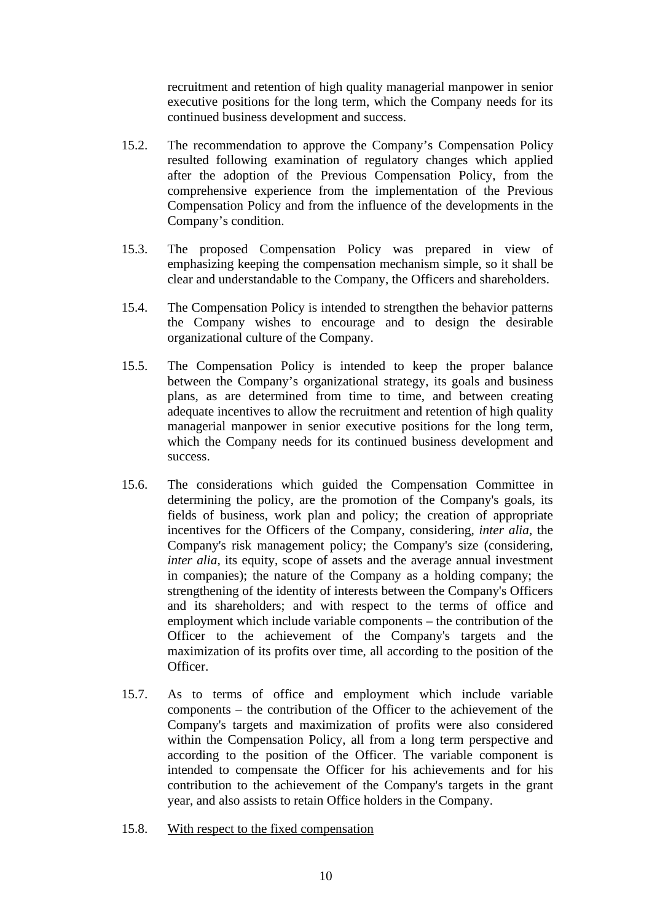recruitment and retention of high quality managerial manpower in senior executive positions for the long term, which the Company needs for its continued business development and success.

- 15.2. The recommendation to approve the Company's Compensation Policy resulted following examination of regulatory changes which applied after the adoption of the Previous Compensation Policy, from the comprehensive experience from the implementation of the Previous Compensation Policy and from the influence of the developments in the Company's condition.
- 15.3. The proposed Compensation Policy was prepared in view of emphasizing keeping the compensation mechanism simple, so it shall be clear and understandable to the Company, the Officers and shareholders.
- 15.4. The Compensation Policy is intended to strengthen the behavior patterns the Company wishes to encourage and to design the desirable organizational culture of the Company.
- 15.5. The Compensation Policy is intended to keep the proper balance between the Company's organizational strategy, its goals and business plans, as are determined from time to time, and between creating adequate incentives to allow the recruitment and retention of high quality managerial manpower in senior executive positions for the long term, which the Company needs for its continued business development and success.
- 15.6. The considerations which guided the Compensation Committee in determining the policy, are the promotion of the Company's goals, its fields of business, work plan and policy; the creation of appropriate incentives for the Officers of the Company, considering, *inter alia*, the Company's risk management policy; the Company's size (considering, *inter alia*, its equity, scope of assets and the average annual investment in companies); the nature of the Company as a holding company; the strengthening of the identity of interests between the Company's Officers and its shareholders; and with respect to the terms of office and employment which include variable components – the contribution of the Officer to the achievement of the Company's targets and the maximization of its profits over time, all according to the position of the Officer.
- 15.7. As to terms of office and employment which include variable components – the contribution of the Officer to the achievement of the Company's targets and maximization of profits were also considered within the Compensation Policy, all from a long term perspective and according to the position of the Officer. The variable component is intended to compensate the Officer for his achievements and for his contribution to the achievement of the Company's targets in the grant year, and also assists to retain Office holders in the Company.
- 15.8. With respect to the fixed compensation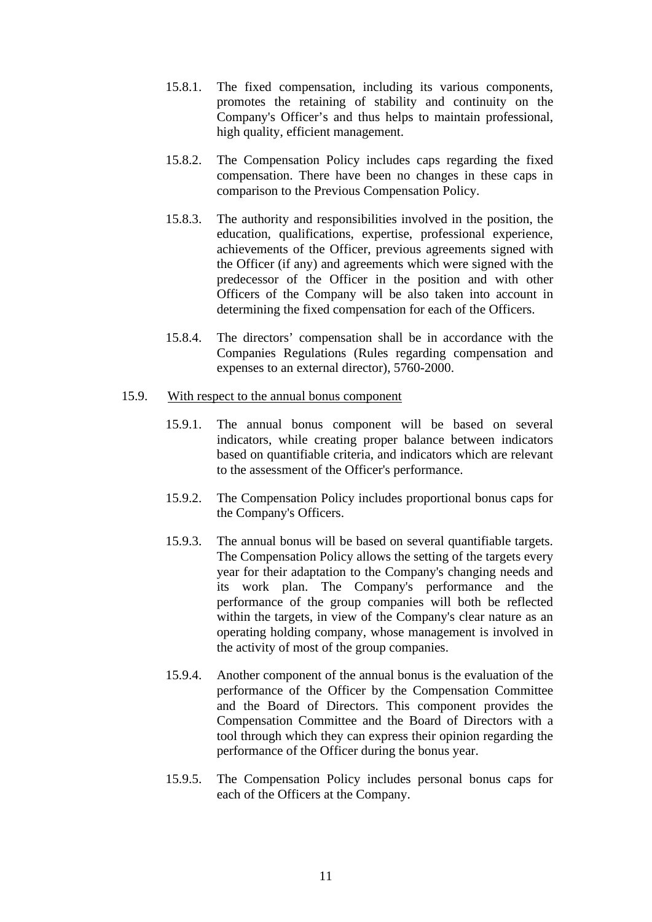- 15.8.1. The fixed compensation, including its various components, promotes the retaining of stability and continuity on the Company's Officer's and thus helps to maintain professional, high quality, efficient management.
- 15.8.2. The Compensation Policy includes caps regarding the fixed compensation. There have been no changes in these caps in comparison to the Previous Compensation Policy.
- 15.8.3. The authority and responsibilities involved in the position, the education, qualifications, expertise, professional experience, achievements of the Officer, previous agreements signed with the Officer (if any) and agreements which were signed with the predecessor of the Officer in the position and with other Officers of the Company will be also taken into account in determining the fixed compensation for each of the Officers.
- 15.8.4. The directors' compensation shall be in accordance with the Companies Regulations (Rules regarding compensation and expenses to an external director), 5760-2000.

#### 15.9. With respect to the annual bonus component

- 15.9.1. The annual bonus component will be based on several indicators, while creating proper balance between indicators based on quantifiable criteria, and indicators which are relevant to the assessment of the Officer's performance.
- 15.9.2. The Compensation Policy includes proportional bonus caps for the Company's Officers.
- 15.9.3. The annual bonus will be based on several quantifiable targets. The Compensation Policy allows the setting of the targets every year for their adaptation to the Company's changing needs and its work plan. The Company's performance and the performance of the group companies will both be reflected within the targets, in view of the Company's clear nature as an operating holding company, whose management is involved in the activity of most of the group companies.
- 15.9.4. Another component of the annual bonus is the evaluation of the performance of the Officer by the Compensation Committee and the Board of Directors. This component provides the Compensation Committee and the Board of Directors with a tool through which they can express their opinion regarding the performance of the Officer during the bonus year.
- 15.9.5. The Compensation Policy includes personal bonus caps for each of the Officers at the Company.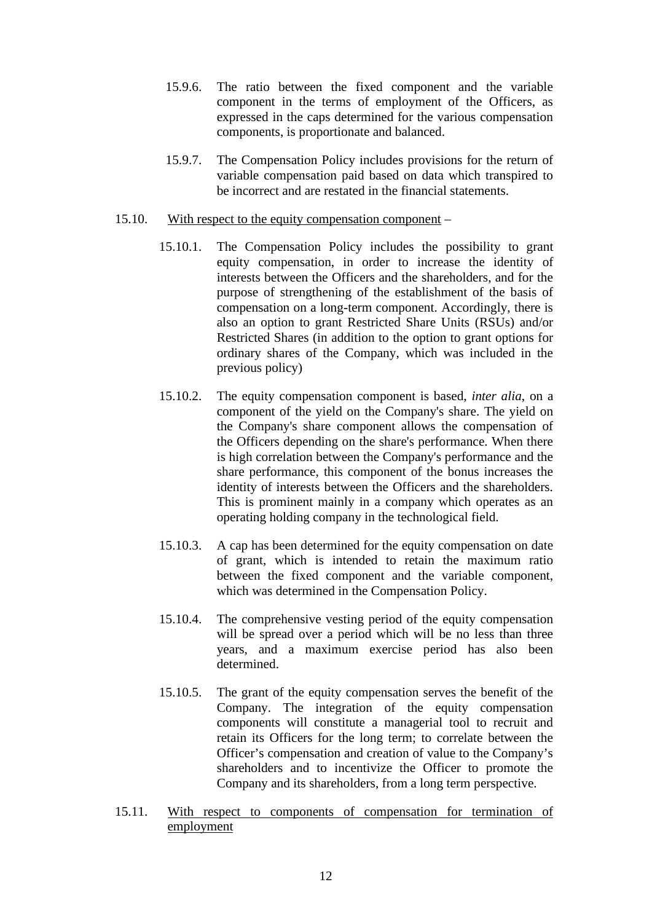- 15.9.6. The ratio between the fixed component and the variable component in the terms of employment of the Officers, as expressed in the caps determined for the various compensation components, is proportionate and balanced.
- 15.9.7. The Compensation Policy includes provisions for the return of variable compensation paid based on data which transpired to be incorrect and are restated in the financial statements.

#### 15.10. With respect to the equity compensation component –

- 15.10.1. The Compensation Policy includes the possibility to grant equity compensation, in order to increase the identity of interests between the Officers and the shareholders, and for the purpose of strengthening of the establishment of the basis of compensation on a long-term component. Accordingly, there is also an option to grant Restricted Share Units (RSUs) and/or Restricted Shares (in addition to the option to grant options for ordinary shares of the Company, which was included in the previous policy)
- 15.10.2. The equity compensation component is based, *inter alia*, on a component of the yield on the Company's share. The yield on the Company's share component allows the compensation of the Officers depending on the share's performance. When there is high correlation between the Company's performance and the share performance, this component of the bonus increases the identity of interests between the Officers and the shareholders. This is prominent mainly in a company which operates as an operating holding company in the technological field.
- 15.10.3. A cap has been determined for the equity compensation on date of grant, which is intended to retain the maximum ratio between the fixed component and the variable component, which was determined in the Compensation Policy.
- 15.10.4. The comprehensive vesting period of the equity compensation will be spread over a period which will be no less than three years, and a maximum exercise period has also been determined.
- 15.10.5. The grant of the equity compensation serves the benefit of the Company. The integration of the equity compensation components will constitute a managerial tool to recruit and retain its Officers for the long term; to correlate between the Officer's compensation and creation of value to the Company's shareholders and to incentivize the Officer to promote the Company and its shareholders, from a long term perspective.
- 15.11. With respect to components of compensation for termination of employment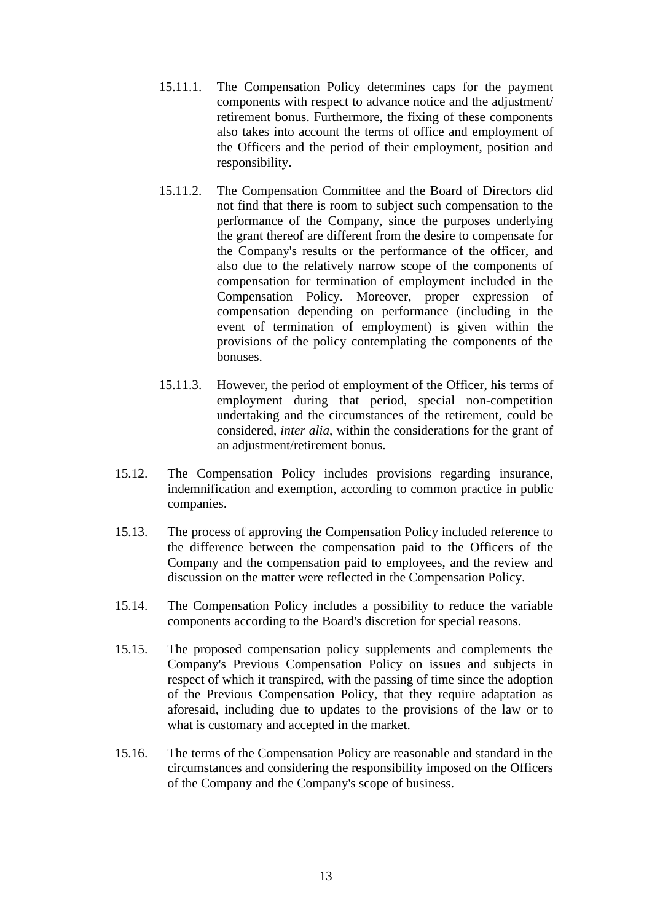- 15.11.1. The Compensation Policy determines caps for the payment components with respect to advance notice and the adjustment/ retirement bonus. Furthermore, the fixing of these components also takes into account the terms of office and employment of the Officers and the period of their employment, position and responsibility.
- 15.11.2. The Compensation Committee and the Board of Directors did not find that there is room to subject such compensation to the performance of the Company, since the purposes underlying the grant thereof are different from the desire to compensate for the Company's results or the performance of the officer, and also due to the relatively narrow scope of the components of compensation for termination of employment included in the Compensation Policy. Moreover, proper expression of compensation depending on performance (including in the event of termination of employment) is given within the provisions of the policy contemplating the components of the bonuses.
- 15.11.3. However, the period of employment of the Officer, his terms of employment during that period, special non-competition undertaking and the circumstances of the retirement, could be considered, *inter alia*, within the considerations for the grant of an adjustment/retirement bonus.
- 15.12. The Compensation Policy includes provisions regarding insurance, indemnification and exemption, according to common practice in public companies.
- 15.13. The process of approving the Compensation Policy included reference to the difference between the compensation paid to the Officers of the Company and the compensation paid to employees, and the review and discussion on the matter were reflected in the Compensation Policy.
- 15.14. The Compensation Policy includes a possibility to reduce the variable components according to the Board's discretion for special reasons.
- 15.15. The proposed compensation policy supplements and complements the Company's Previous Compensation Policy on issues and subjects in respect of which it transpired, with the passing of time since the adoption of the Previous Compensation Policy, that they require adaptation as aforesaid, including due to updates to the provisions of the law or to what is customary and accepted in the market.
- 15.16. The terms of the Compensation Policy are reasonable and standard in the circumstances and considering the responsibility imposed on the Officers of the Company and the Company's scope of business.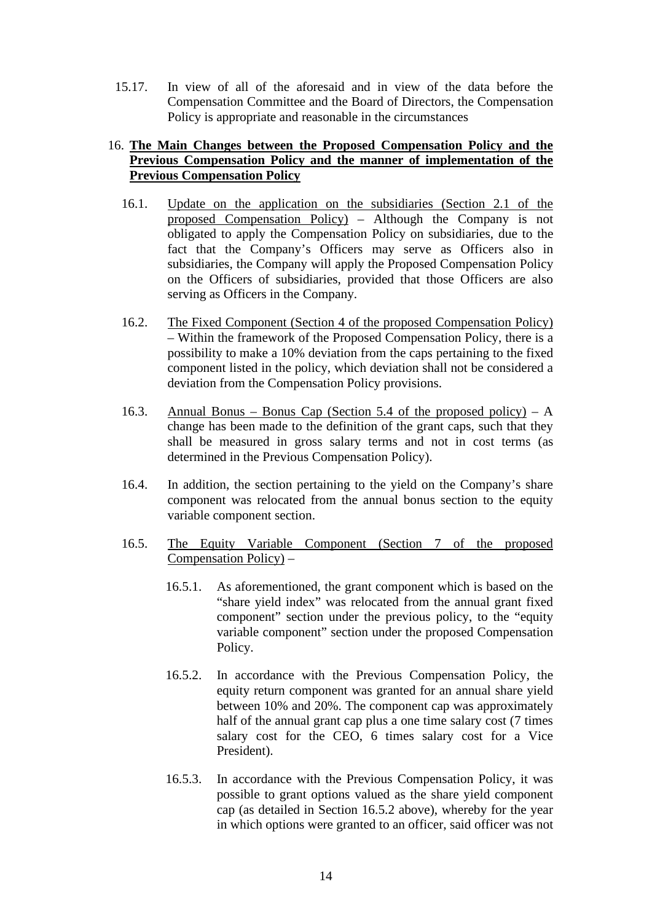15.17. In view of all of the aforesaid and in view of the data before the Compensation Committee and the Board of Directors, the Compensation Policy is appropriate and reasonable in the circumstances

### 16. **The Main Changes between the Proposed Compensation Policy and the Previous Compensation Policy and the manner of implementation of the Previous Compensation Policy**

- 16.1. Update on the application on the subsidiaries (Section 2.1 of the proposed Compensation Policy) – Although the Company is not obligated to apply the Compensation Policy on subsidiaries, due to the fact that the Company's Officers may serve as Officers also in subsidiaries, the Company will apply the Proposed Compensation Policy on the Officers of subsidiaries, provided that those Officers are also serving as Officers in the Company.
- 16.2. The Fixed Component (Section 4 of the proposed Compensation Policy) – Within the framework of the Proposed Compensation Policy, there is a possibility to make a 10% deviation from the caps pertaining to the fixed component listed in the policy, which deviation shall not be considered a deviation from the Compensation Policy provisions.
- 16.3. Annual Bonus Bonus Cap (Section 5.4 of the proposed policy) A change has been made to the definition of the grant caps, such that they shall be measured in gross salary terms and not in cost terms (as determined in the Previous Compensation Policy).
- 16.4. In addition, the section pertaining to the yield on the Company's share component was relocated from the annual bonus section to the equity variable component section.
- 16.5. The Equity Variable Component (Section 7 of the proposed Compensation Policy) –
	- 16.5.1. As aforementioned, the grant component which is based on the "share yield index" was relocated from the annual grant fixed component" section under the previous policy, to the "equity variable component" section under the proposed Compensation Policy.
	- 16.5.2. In accordance with the Previous Compensation Policy, the equity return component was granted for an annual share yield between 10% and 20%. The component cap was approximately half of the annual grant cap plus a one time salary cost (7 times salary cost for the CEO, 6 times salary cost for a Vice President).
	- 16.5.3. In accordance with the Previous Compensation Policy, it was possible to grant options valued as the share yield component cap (as detailed in Section 16.5.2 above), whereby for the year in which options were granted to an officer, said officer was not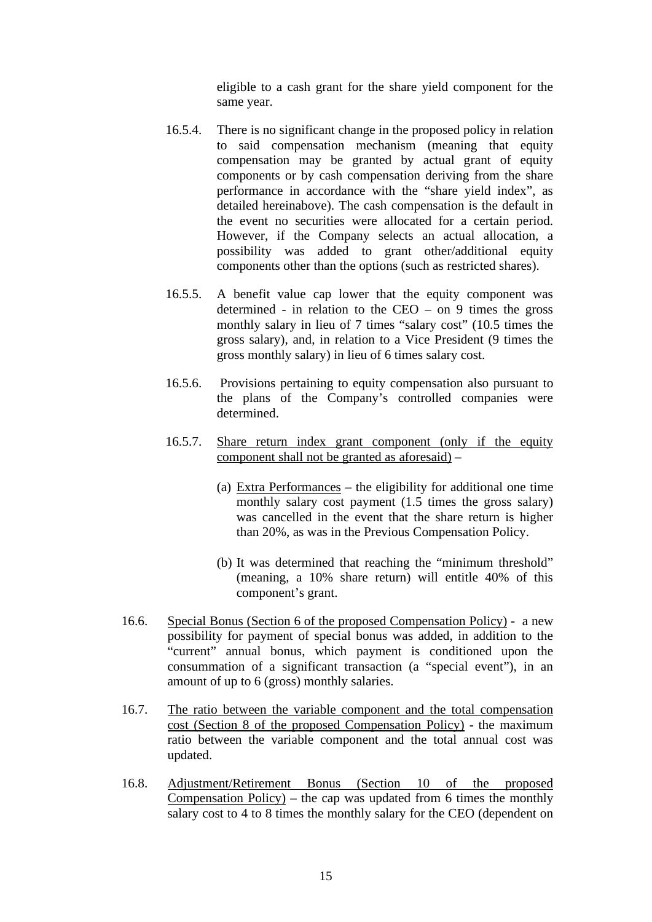eligible to a cash grant for the share yield component for the same year.

- 16.5.4. There is no significant change in the proposed policy in relation to said compensation mechanism (meaning that equity compensation may be granted by actual grant of equity components or by cash compensation deriving from the share performance in accordance with the "share yield index", as detailed hereinabove). The cash compensation is the default in the event no securities were allocated for a certain period. However, if the Company selects an actual allocation, a possibility was added to grant other/additional equity components other than the options (such as restricted shares).
- 16.5.5. A benefit value cap lower that the equity component was determined - in relation to the CEO – on 9 times the gross monthly salary in lieu of 7 times "salary cost" (10.5 times the gross salary), and, in relation to a Vice President (9 times the gross monthly salary) in lieu of 6 times salary cost.
- 16.5.6. Provisions pertaining to equity compensation also pursuant to the plans of the Company's controlled companies were determined.
- 16.5.7. Share return index grant component (only if the equity component shall not be granted as aforesaid) –
	- (a) Extra Performances the eligibility for additional one time monthly salary cost payment (1.5 times the gross salary) was cancelled in the event that the share return is higher than 20%, as was in the Previous Compensation Policy.
	- (b) It was determined that reaching the "minimum threshold" (meaning, a 10% share return) will entitle 40% of this component's grant.
- 16.6. Special Bonus (Section 6 of the proposed Compensation Policy) a new possibility for payment of special bonus was added, in addition to the "current" annual bonus, which payment is conditioned upon the consummation of a significant transaction (a "special event"), in an amount of up to 6 (gross) monthly salaries.
- 16.7. The ratio between the variable component and the total compensation cost (Section 8 of the proposed Compensation Policy) - the maximum ratio between the variable component and the total annual cost was updated.
- 16.8. Adjustment/Retirement Bonus (Section 10 of the proposed Compensation Policy) – the cap was updated from 6 times the monthly salary cost to 4 to 8 times the monthly salary for the CEO (dependent on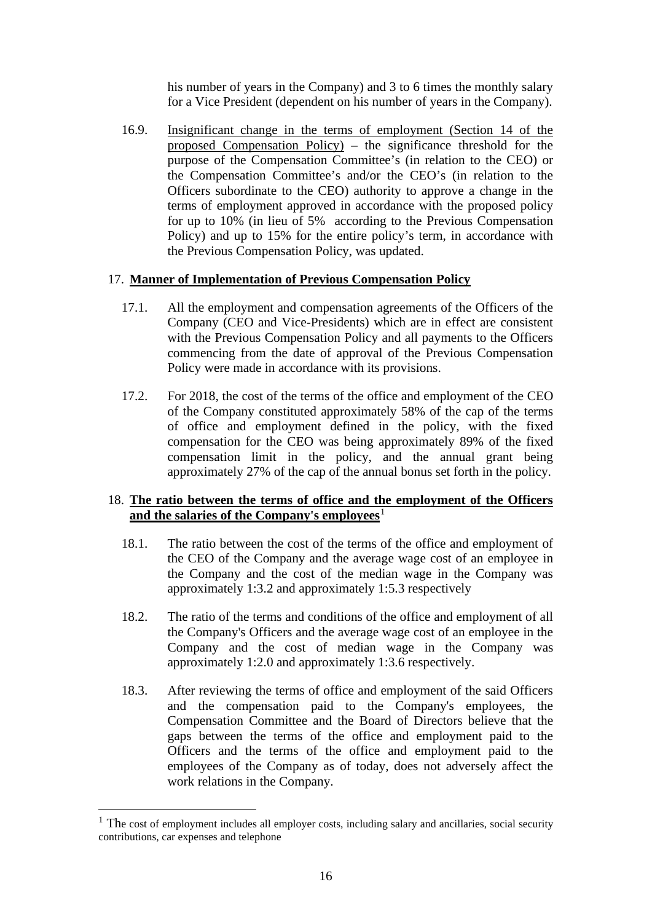his number of years in the Company) and 3 to 6 times the monthly salary for a Vice President (dependent on his number of years in the Company).

16.9. Insignificant change in the terms of employment (Section 14 of the proposed Compensation Policy) – the significance threshold for the purpose of the Compensation Committee's (in relation to the CEO) or the Compensation Committee's and/or the CEO's (in relation to the Officers subordinate to the CEO) authority to approve a change in the terms of employment approved in accordance with the proposed policy for up to 10% (in lieu of 5% according to the Previous Compensation Policy) and up to 15% for the entire policy's term, in accordance with the Previous Compensation Policy, was updated.

#### 17. **Manner of Implementation of Previous Compensation Policy**

- 17.1. All the employment and compensation agreements of the Officers of the Company (CEO and Vice-Presidents) which are in effect are consistent with the Previous Compensation Policy and all payments to the Officers commencing from the date of approval of the Previous Compensation Policy were made in accordance with its provisions.
- 17.2. For 2018, the cost of the terms of the office and employment of the CEO of the Company constituted approximately 58% of the cap of the terms of office and employment defined in the policy, with the fixed compensation for the CEO was being approximately 89% of the fixed compensation limit in the policy, and the annual grant being approximately 27% of the cap of the annual bonus set forth in the policy.

## 18. **The ratio between the terms of office and the employment of the Officers**  and the salaries of the Company's employees<sup>[1](#page-15-0)</sup>

- 18.1. The ratio between the cost of the terms of the office and employment of the CEO of the Company and the average wage cost of an employee in the Company and the cost of the median wage in the Company was approximately 1:3.2 and approximately 1:5.3 respectively
- 18.2. The ratio of the terms and conditions of the office and employment of all the Company's Officers and the average wage cost of an employee in the Company and the cost of median wage in the Company was approximately 1:2.0 and approximately 1:3.6 respectively.
- 18.3. After reviewing the terms of office and employment of the said Officers and the compensation paid to the Company's employees, the Compensation Committee and the Board of Directors believe that the gaps between the terms of the office and employment paid to the Officers and the terms of the office and employment paid to the employees of the Company as of today, does not adversely affect the work relations in the Company.

<span id="page-15-0"></span><sup>&</sup>lt;sup>1</sup> The cost of employment includes all employer costs, including salary and ancillaries, social security contributions, car expenses and telephone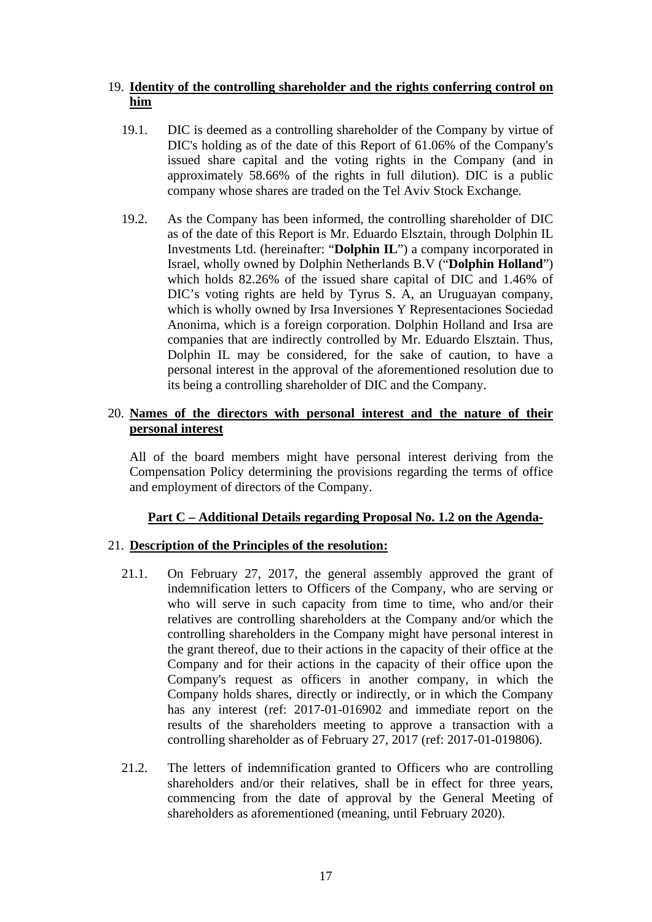## 19. **Identity of the controlling shareholder and the rights conferring control on him**

- 19.1. DIC is deemed as a controlling shareholder of the Company by virtue of DIC's holding as of the date of this Report of 61.06% of the Company's issued share capital and the voting rights in the Company (and in approximately 58.66% of the rights in full dilution). DIC is a public company whose shares are traded on the Tel Aviv Stock Exchange.
- 19.2. As the Company has been informed, the controlling shareholder of DIC as of the date of this Report is Mr. Eduardo Elsztain, through Dolphin IL Investments Ltd. (hereinafter: "**Dolphin IL**") a company incorporated in Israel, wholly owned by Dolphin Netherlands B.V ("**Dolphin Holland**") which holds 82.26% of the issued share capital of DIC and 1.46% of DIC's voting rights are held by Tyrus S. A, an Uruguayan company, which is wholly owned by Irsa Inversiones Y Representaciones Sociedad Anonima, which is a foreign corporation. Dolphin Holland and Irsa are companies that are indirectly controlled by Mr. Eduardo Elsztain. Thus, Dolphin IL may be considered, for the sake of caution, to have a personal interest in the approval of the aforementioned resolution due to its being a controlling shareholder of DIC and the Company.

#### 20. **Names of the directors with personal interest and the nature of their personal interest**

All of the board members might have personal interest deriving from the Compensation Policy determining the provisions regarding the terms of office and employment of directors of the Company.

## **Part C – Additional Details regarding Proposal No. 1.2 on the Agenda-**

#### 21. **Description of the Principles of the resolution:**

- 21.1. On February 27, 2017, the general assembly approved the grant of indemnification letters to Officers of the Company, who are serving or who will serve in such capacity from time to time, who and/or their relatives are controlling shareholders at the Company and/or which the controlling shareholders in the Company might have personal interest in the grant thereof, due to their actions in the capacity of their office at the Company and for their actions in the capacity of their office upon the Company's request as officers in another company, in which the Company holds shares, directly or indirectly, or in which the Company has any interest (ref: 2017-01-016902 and immediate report on the results of the shareholders meeting to approve a transaction with a controlling shareholder as of February 27, 2017 (ref: 2017-01-019806).
- 21.2. The letters of indemnification granted to Officers who are controlling shareholders and/or their relatives, shall be in effect for three years, commencing from the date of approval by the General Meeting of shareholders as aforementioned (meaning, until February 2020).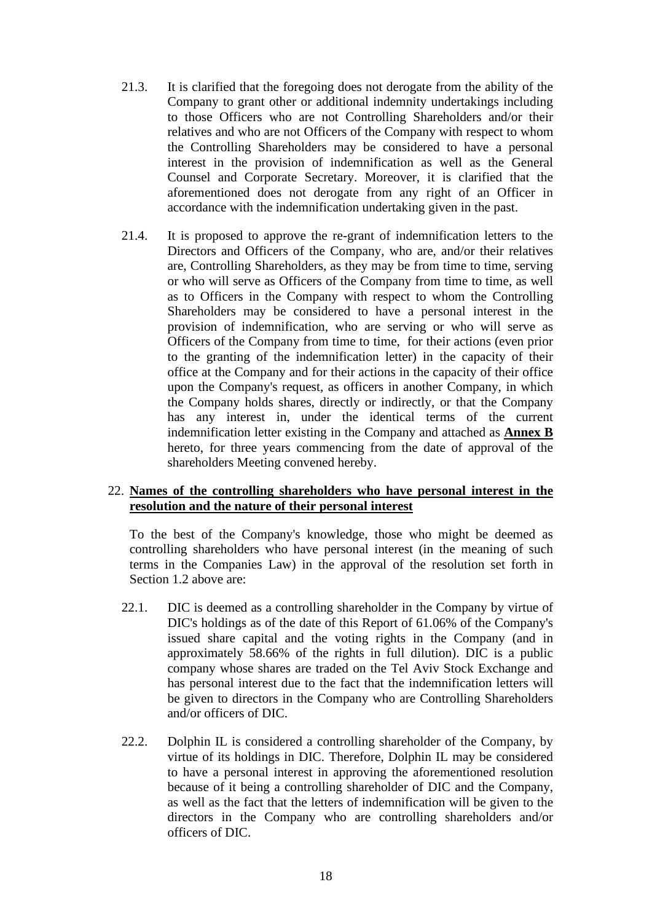- 21.3. It is clarified that the foregoing does not derogate from the ability of the Company to grant other or additional indemnity undertakings including to those Officers who are not Controlling Shareholders and/or their relatives and who are not Officers of the Company with respect to whom the Controlling Shareholders may be considered to have a personal interest in the provision of indemnification as well as the General Counsel and Corporate Secretary. Moreover, it is clarified that the aforementioned does not derogate from any right of an Officer in accordance with the indemnification undertaking given in the past.
- 21.4. It is proposed to approve the re-grant of indemnification letters to the Directors and Officers of the Company, who are, and/or their relatives are, Controlling Shareholders, as they may be from time to time, serving or who will serve as Officers of the Company from time to time, as well as to Officers in the Company with respect to whom the Controlling Shareholders may be considered to have a personal interest in the provision of indemnification, who are serving or who will serve as Officers of the Company from time to time, for their actions (even prior to the granting of the indemnification letter) in the capacity of their office at the Company and for their actions in the capacity of their office upon the Company's request, as officers in another Company, in which the Company holds shares, directly or indirectly, or that the Company has any interest in, under the identical terms of the current indemnification letter existing in the Company and attached as **Annex B** hereto, for three years commencing from the date of approval of the shareholders Meeting convened hereby.

#### 22. **Names of the controlling shareholders who have personal interest in the resolution and the nature of their personal interest**

To the best of the Company's knowledge, those who might be deemed as controlling shareholders who have personal interest (in the meaning of such terms in the Companies Law) in the approval of the resolution set forth in Section 1.2 above are:

- 22.1. DIC is deemed as a controlling shareholder in the Company by virtue of DIC's holdings as of the date of this Report of 61.06% of the Company's issued share capital and the voting rights in the Company (and in approximately 58.66% of the rights in full dilution). DIC is a public company whose shares are traded on the Tel Aviv Stock Exchange and has personal interest due to the fact that the indemnification letters will be given to directors in the Company who are Controlling Shareholders and/or officers of DIC.
- 22.2. Dolphin IL is considered a controlling shareholder of the Company, by virtue of its holdings in DIC. Therefore, Dolphin IL may be considered to have a personal interest in approving the aforementioned resolution because of it being a controlling shareholder of DIC and the Company, as well as the fact that the letters of indemnification will be given to the directors in the Company who are controlling shareholders and/or officers of DIC.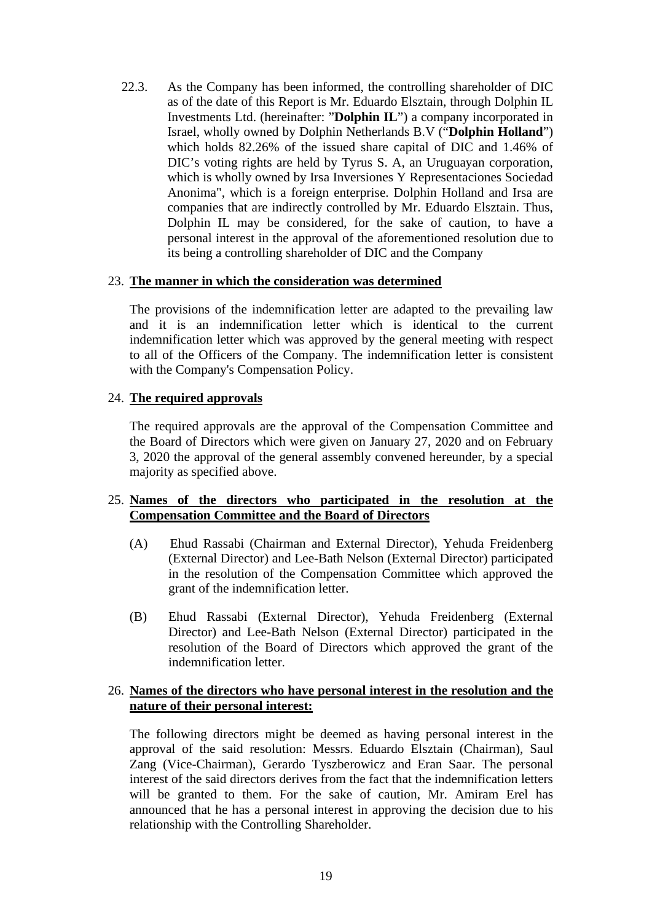22.3. As the Company has been informed, the controlling shareholder of DIC as of the date of this Report is Mr. Eduardo Elsztain, through Dolphin IL Investments Ltd. (hereinafter: "**Dolphin IL**") a company incorporated in Israel, wholly owned by Dolphin Netherlands B.V ("**Dolphin Holland**") which holds 82.26% of the issued share capital of DIC and 1.46% of DIC's voting rights are held by Tyrus S. A, an Uruguayan corporation, which is wholly owned by Irsa Inversiones Y Representaciones Sociedad Anonima", which is a foreign enterprise. Dolphin Holland and Irsa are companies that are indirectly controlled by Mr. Eduardo Elsztain. Thus, Dolphin IL may be considered, for the sake of caution, to have a personal interest in the approval of the aforementioned resolution due to its being a controlling shareholder of DIC and the Company

#### 23. **The manner in which the consideration was determined**

The provisions of the indemnification letter are adapted to the prevailing law and it is an indemnification letter which is identical to the current indemnification letter which was approved by the general meeting with respect to all of the Officers of the Company. The indemnification letter is consistent with the Company's Compensation Policy.

## 24. **The required approvals**

The required approvals are the approval of the Compensation Committee and the Board of Directors which were given on January 27, 2020 and on February 3, 2020 the approval of the general assembly convened hereunder, by a special majority as specified above.

## 25. **Names of the directors who participated in the resolution at the Compensation Committee and the Board of Directors**

- (A) Ehud Rassabi (Chairman and External Director), Yehuda Freidenberg (External Director) and Lee-Bath Nelson (External Director) participated in the resolution of the Compensation Committee which approved the grant of the indemnification letter.
- (B) Ehud Rassabi (External Director), Yehuda Freidenberg (External Director) and Lee-Bath Nelson (External Director) participated in the resolution of the Board of Directors which approved the grant of the indemnification letter.

## 26. **Names of the directors who have personal interest in the resolution and the nature of their personal interest:**

The following directors might be deemed as having personal interest in the approval of the said resolution: Messrs. Eduardo Elsztain (Chairman), Saul Zang (Vice-Chairman), Gerardo Tyszberowicz and Eran Saar. The personal interest of the said directors derives from the fact that the indemnification letters will be granted to them. For the sake of caution, Mr. Amiram Erel has announced that he has a personal interest in approving the decision due to his relationship with the Controlling Shareholder.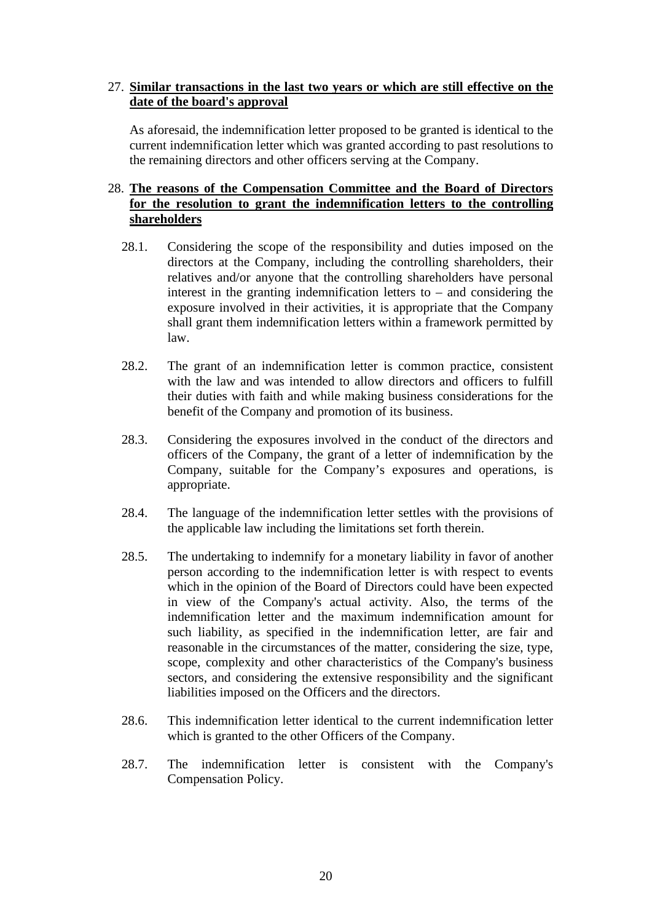## 27. **Similar transactions in the last two years or which are still effective on the date of the board's approval**

As aforesaid, the indemnification letter proposed to be granted is identical to the current indemnification letter which was granted according to past resolutions to the remaining directors and other officers serving at the Company.

## 28. **The reasons of the Compensation Committee and the Board of Directors for the resolution to grant the indemnification letters to the controlling shareholders**

- 28.1. Considering the scope of the responsibility and duties imposed on the directors at the Company, including the controlling shareholders, their relatives and/or anyone that the controlling shareholders have personal interest in the granting indemnification letters to  $-$  and considering the exposure involved in their activities, it is appropriate that the Company shall grant them indemnification letters within a framework permitted by law.
- 28.2. The grant of an indemnification letter is common practice, consistent with the law and was intended to allow directors and officers to fulfill their duties with faith and while making business considerations for the benefit of the Company and promotion of its business.
- 28.3. Considering the exposures involved in the conduct of the directors and officers of the Company, the grant of a letter of indemnification by the Company, suitable for the Company's exposures and operations, is appropriate.
- 28.4. The language of the indemnification letter settles with the provisions of the applicable law including the limitations set forth therein.
- 28.5. The undertaking to indemnify for a monetary liability in favor of another person according to the indemnification letter is with respect to events which in the opinion of the Board of Directors could have been expected in view of the Company's actual activity. Also, the terms of the indemnification letter and the maximum indemnification amount for such liability, as specified in the indemnification letter, are fair and reasonable in the circumstances of the matter, considering the size, type, scope, complexity and other characteristics of the Company's business sectors, and considering the extensive responsibility and the significant liabilities imposed on the Officers and the directors.
- 28.6. This indemnification letter identical to the current indemnification letter which is granted to the other Officers of the Company.
- 28.7. The indemnification letter is consistent with the Company's Compensation Policy.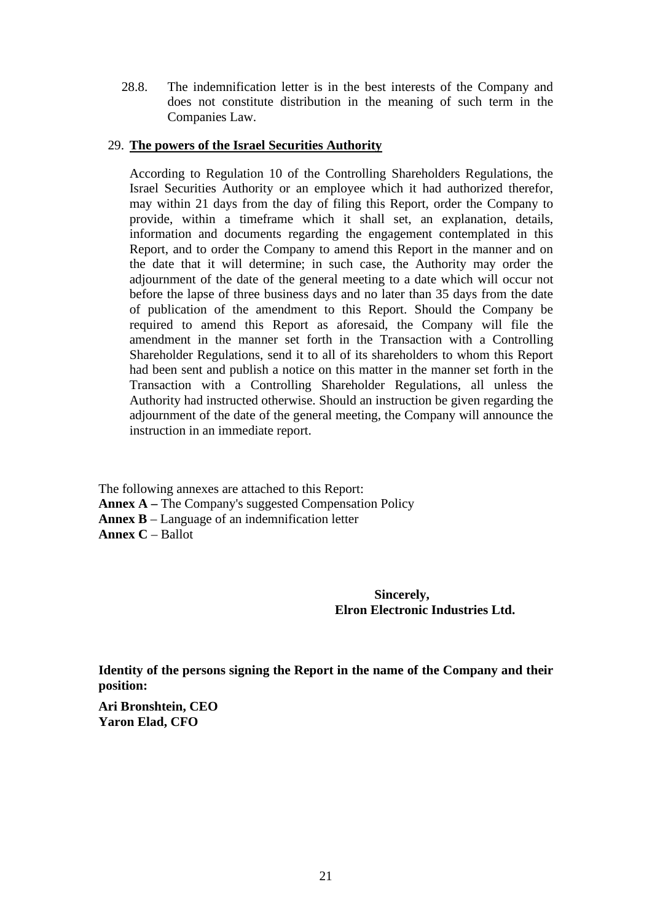28.8. The indemnification letter is in the best interests of the Company and does not constitute distribution in the meaning of such term in the Companies Law.

#### 29. **The powers of the Israel Securities Authority**

According to Regulation 10 of the Controlling Shareholders Regulations, the Israel Securities Authority or an employee which it had authorized therefor, may within 21 days from the day of filing this Report, order the Company to provide, within a timeframe which it shall set, an explanation, details, information and documents regarding the engagement contemplated in this Report, and to order the Company to amend this Report in the manner and on the date that it will determine; in such case, the Authority may order the adjournment of the date of the general meeting to a date which will occur not before the lapse of three business days and no later than 35 days from the date of publication of the amendment to this Report. Should the Company be required to amend this Report as aforesaid, the Company will file the amendment in the manner set forth in the Transaction with a Controlling Shareholder Regulations, send it to all of its shareholders to whom this Report had been sent and publish a notice on this matter in the manner set forth in the Transaction with a Controlling Shareholder Regulations, all unless the Authority had instructed otherwise. Should an instruction be given regarding the adjournment of the date of the general meeting, the Company will announce the instruction in an immediate report.

The following annexes are attached to this Report: **Annex A –** The Company's suggested Compensation Policy **Annex B** – Language of an indemnification letter **Annex C** – Ballot

> **Sincerely, Elron Electronic Industries Ltd.**

**Identity of the persons signing the Report in the name of the Company and their position:**

**Ari Bronshtein, CEO Yaron Elad, CFO**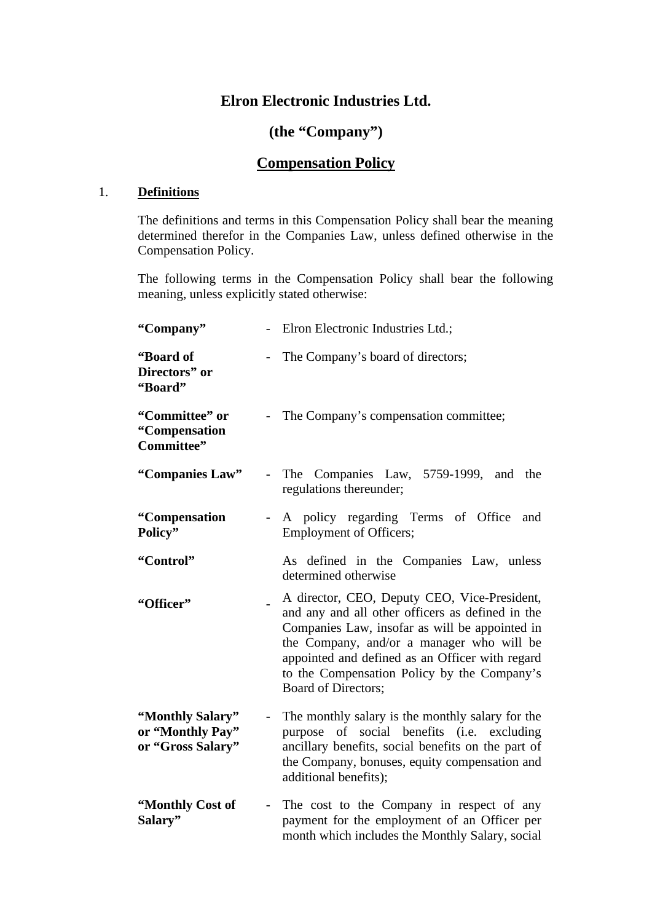## **Elron Electronic Industries Ltd.**

## **(the "Company")**

## **Compensation Policy**

#### 1. **Definitions**

The definitions and terms in this Compensation Policy shall bear the meaning determined therefor in the Companies Law, unless defined otherwise in the Compensation Policy.

The following terms in the Compensation Policy shall bear the following meaning, unless explicitly stated otherwise:

| "Company"                                                 |                                                                                                                                                                                                                                                                                                                          | Elron Electronic Industries Ltd.;                                                                                                                                                                                              |  |  |  |  |
|-----------------------------------------------------------|--------------------------------------------------------------------------------------------------------------------------------------------------------------------------------------------------------------------------------------------------------------------------------------------------------------------------|--------------------------------------------------------------------------------------------------------------------------------------------------------------------------------------------------------------------------------|--|--|--|--|
| "Board of<br>Directors" or<br>"Board"                     |                                                                                                                                                                                                                                                                                                                          | The Company's board of directors;                                                                                                                                                                                              |  |  |  |  |
| "Committee" or<br>"Compensation<br>Committee"             |                                                                                                                                                                                                                                                                                                                          | The Company's compensation committee;                                                                                                                                                                                          |  |  |  |  |
| "Companies Law"                                           | $\overline{a}$                                                                                                                                                                                                                                                                                                           | The Companies Law, 5759-1999, and<br>the<br>regulations thereunder;                                                                                                                                                            |  |  |  |  |
| "Compensation<br>Policy"                                  | $\overline{\phantom{0}}$                                                                                                                                                                                                                                                                                                 | A policy regarding Terms of Office and<br><b>Employment of Officers;</b>                                                                                                                                                       |  |  |  |  |
| "Control"                                                 |                                                                                                                                                                                                                                                                                                                          | As defined in the Companies Law, unless<br>determined otherwise                                                                                                                                                                |  |  |  |  |
| "Officer"                                                 | A director, CEO, Deputy CEO, Vice-President,<br>and any and all other officers as defined in the<br>Companies Law, insofar as will be appointed in<br>the Company, and/or a manager who will be<br>appointed and defined as an Officer with regard<br>to the Compensation Policy by the Company's<br>Board of Directors; |                                                                                                                                                                                                                                |  |  |  |  |
| "Monthly Salary"<br>or "Monthly Pay"<br>or "Gross Salary" | $\overline{\phantom{0}}$                                                                                                                                                                                                                                                                                                 | The monthly salary is the monthly salary for the<br>purpose of social benefits (i.e. excluding<br>ancillary benefits, social benefits on the part of<br>the Company, bonuses, equity compensation and<br>additional benefits); |  |  |  |  |
| "Monthly Cost of<br>Salary"                               | The cost to the Company in respect of any<br>$\overline{\phantom{a}}$<br>payment for the employment of an Officer per<br>month which includes the Monthly Salary, social                                                                                                                                                 |                                                                                                                                                                                                                                |  |  |  |  |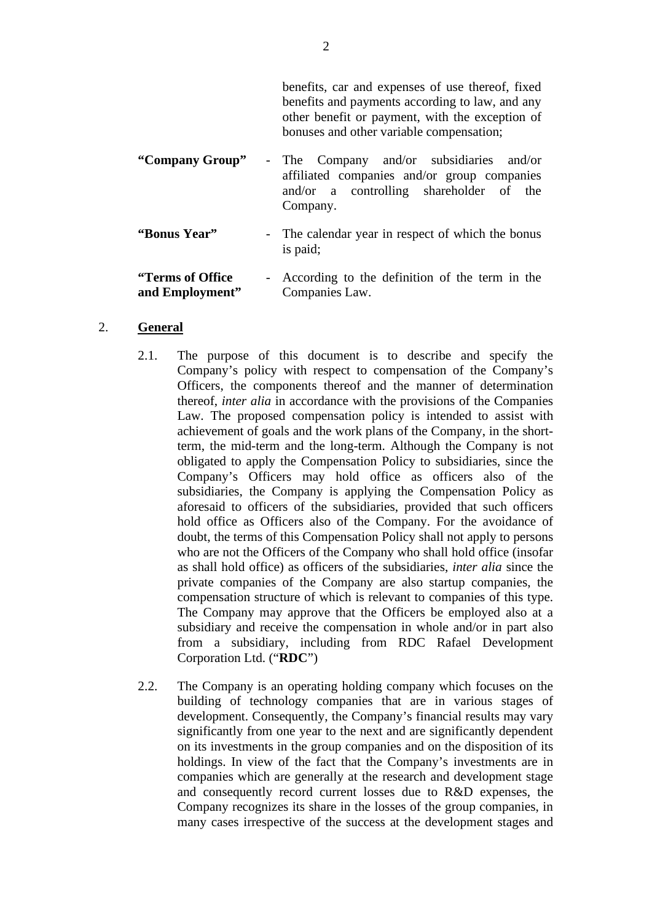benefits, car and expenses of use thereof, fixed benefits and payments according to law, and any other benefit or payment, with the exception of bonuses and other variable compensation;

- **"Company Group"**  The Company and/or subsidiaries and/or affiliated companies and/or group companies and/or a controlling shareholder of the Company.
- **"Bonus Year"** The calendar year in respect of which the bonus is paid;

**"Terms of Office and Employment"** - According to the definition of the term in the Companies Law.

#### 2. **General**

- 2.1. The purpose of this document is to describe and specify the Company's policy with respect to compensation of the Company's Officers, the components thereof and the manner of determination thereof, *inter alia* in accordance with the provisions of the Companies Law. The proposed compensation policy is intended to assist with achievement of goals and the work plans of the Company, in the shortterm, the mid-term and the long-term. Although the Company is not obligated to apply the Compensation Policy to subsidiaries, since the Company's Officers may hold office as officers also of the subsidiaries, the Company is applying the Compensation Policy as aforesaid to officers of the subsidiaries, provided that such officers hold office as Officers also of the Company. For the avoidance of doubt, the terms of this Compensation Policy shall not apply to persons who are not the Officers of the Company who shall hold office (insofar as shall hold office) as officers of the subsidiaries, *inter alia* since the private companies of the Company are also startup companies, the compensation structure of which is relevant to companies of this type. The Company may approve that the Officers be employed also at a subsidiary and receive the compensation in whole and/or in part also from a subsidiary, including from RDC Rafael Development Corporation Ltd. ("**RDC**")
- 2.2. The Company is an operating holding company which focuses on the building of technology companies that are in various stages of development. Consequently, the Company's financial results may vary significantly from one year to the next and are significantly dependent on its investments in the group companies and on the disposition of its holdings. In view of the fact that the Company's investments are in companies which are generally at the research and development stage and consequently record current losses due to R&D expenses, the Company recognizes its share in the losses of the group companies, in many cases irrespective of the success at the development stages and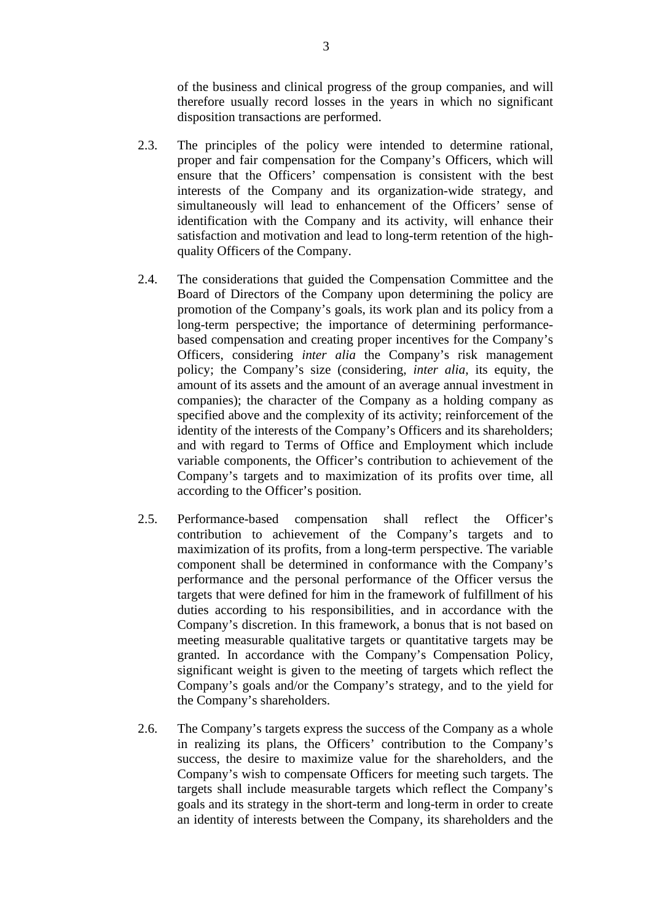of the business and clinical progress of the group companies, and will therefore usually record losses in the years in which no significant disposition transactions are performed.

- 2.3. The principles of the policy were intended to determine rational, proper and fair compensation for the Company's Officers, which will ensure that the Officers' compensation is consistent with the best interests of the Company and its organization-wide strategy, and simultaneously will lead to enhancement of the Officers' sense of identification with the Company and its activity, will enhance their satisfaction and motivation and lead to long-term retention of the highquality Officers of the Company.
- 2.4. The considerations that guided the Compensation Committee and the Board of Directors of the Company upon determining the policy are promotion of the Company's goals, its work plan and its policy from a long-term perspective; the importance of determining performancebased compensation and creating proper incentives for the Company's Officers, considering *inter alia* the Company's risk management policy; the Company's size (considering, *inter alia*, its equity, the amount of its assets and the amount of an average annual investment in companies); the character of the Company as a holding company as specified above and the complexity of its activity; reinforcement of the identity of the interests of the Company's Officers and its shareholders; and with regard to Terms of Office and Employment which include variable components, the Officer's contribution to achievement of the Company's targets and to maximization of its profits over time, all according to the Officer's position.
- 2.5. Performance-based compensation shall reflect the Officer's contribution to achievement of the Company's targets and to maximization of its profits, from a long-term perspective. The variable component shall be determined in conformance with the Company's performance and the personal performance of the Officer versus the targets that were defined for him in the framework of fulfillment of his duties according to his responsibilities, and in accordance with the Company's discretion. In this framework, a bonus that is not based on meeting measurable qualitative targets or quantitative targets may be granted. In accordance with the Company's Compensation Policy, significant weight is given to the meeting of targets which reflect the Company's goals and/or the Company's strategy, and to the yield for the Company's shareholders.
- 2.6. The Company's targets express the success of the Company as a whole in realizing its plans, the Officers' contribution to the Company's success, the desire to maximize value for the shareholders, and the Company's wish to compensate Officers for meeting such targets. The targets shall include measurable targets which reflect the Company's goals and its strategy in the short-term and long-term in order to create an identity of interests between the Company, its shareholders and the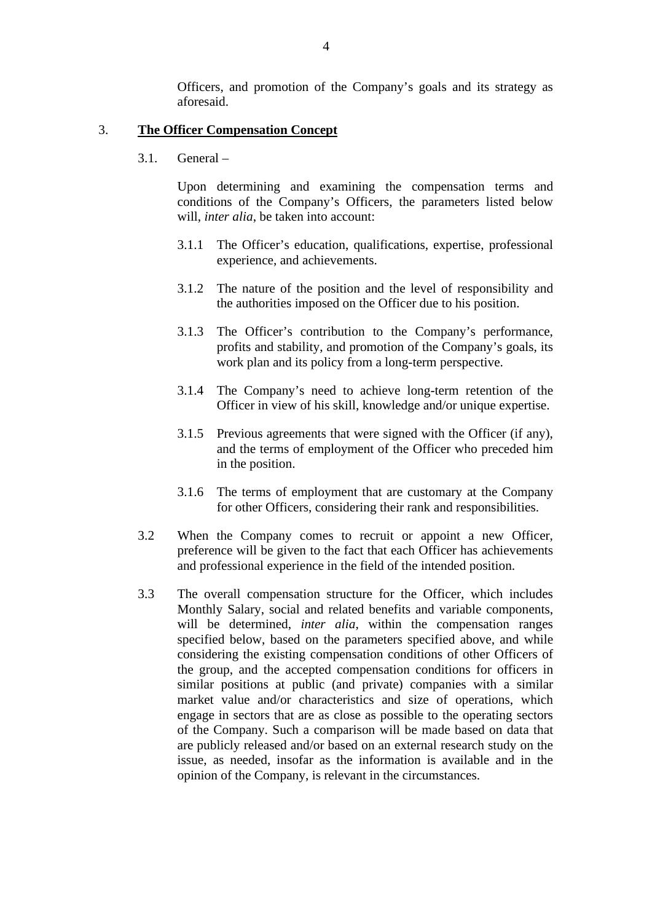Officers, and promotion of the Company's goals and its strategy as aforesaid.

#### 3. **The Officer Compensation Concept**

3.1. General –

Upon determining and examining the compensation terms and conditions of the Company's Officers, the parameters listed below will, *inter alia*, be taken into account:

- 3.1.1 The Officer's education, qualifications, expertise, professional experience, and achievements.
- 3.1.2 The nature of the position and the level of responsibility and the authorities imposed on the Officer due to his position.
- 3.1.3 The Officer's contribution to the Company's performance, profits and stability, and promotion of the Company's goals, its work plan and its policy from a long-term perspective.
- 3.1.4 The Company's need to achieve long-term retention of the Officer in view of his skill, knowledge and/or unique expertise.
- 3.1.5 Previous agreements that were signed with the Officer (if any), and the terms of employment of the Officer who preceded him in the position.
- 3.1.6 The terms of employment that are customary at the Company for other Officers, considering their rank and responsibilities.
- 3.2 When the Company comes to recruit or appoint a new Officer, preference will be given to the fact that each Officer has achievements and professional experience in the field of the intended position.
- 3.3 The overall compensation structure for the Officer, which includes Monthly Salary, social and related benefits and variable components, will be determined, *inter alia*, within the compensation ranges specified below, based on the parameters specified above, and while considering the existing compensation conditions of other Officers of the group, and the accepted compensation conditions for officers in similar positions at public (and private) companies with a similar market value and/or characteristics and size of operations, which engage in sectors that are as close as possible to the operating sectors of the Company. Such a comparison will be made based on data that are publicly released and/or based on an external research study on the issue, as needed, insofar as the information is available and in the opinion of the Company, is relevant in the circumstances.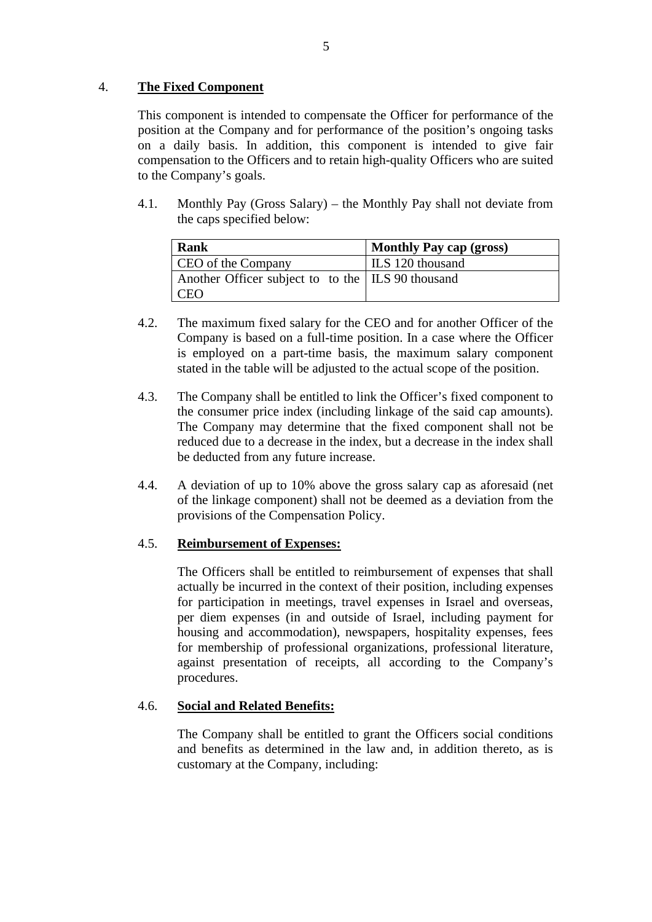## 4. **The Fixed Component**

This component is intended to compensate the Officer for performance of the position at the Company and for performance of the position's ongoing tasks on a daily basis. In addition, this component is intended to give fair compensation to the Officers and to retain high-quality Officers who are suited to the Company's goals.

4.1. Monthly Pay (Gross Salary) – the Monthly Pay shall not deviate from the caps specified below:

| Rank                                                | <b>Monthly Pay cap (gross)</b> |
|-----------------------------------------------------|--------------------------------|
| CEO of the Company                                  | ILS 120 thousand               |
| Another Officer subject to to the   ILS 90 thousand |                                |
| -CEO                                                |                                |

- 4.2. The maximum fixed salary for the CEO and for another Officer of the Company is based on a full-time position. In a case where the Officer is employed on a part-time basis, the maximum salary component stated in the table will be adjusted to the actual scope of the position.
- 4.3. The Company shall be entitled to link the Officer's fixed component to the consumer price index (including linkage of the said cap amounts). The Company may determine that the fixed component shall not be reduced due to a decrease in the index, but a decrease in the index shall be deducted from any future increase.
- 4.4. A deviation of up to 10% above the gross salary cap as aforesaid (net of the linkage component) shall not be deemed as a deviation from the provisions of the Compensation Policy.

## 4.5. **Reimbursement of Expenses:**

The Officers shall be entitled to reimbursement of expenses that shall actually be incurred in the context of their position, including expenses for participation in meetings, travel expenses in Israel and overseas, per diem expenses (in and outside of Israel, including payment for housing and accommodation), newspapers, hospitality expenses, fees for membership of professional organizations, professional literature, against presentation of receipts, all according to the Company's procedures.

## 4.6. **Social and Related Benefits:**

The Company shall be entitled to grant the Officers social conditions and benefits as determined in the law and, in addition thereto, as is customary at the Company, including: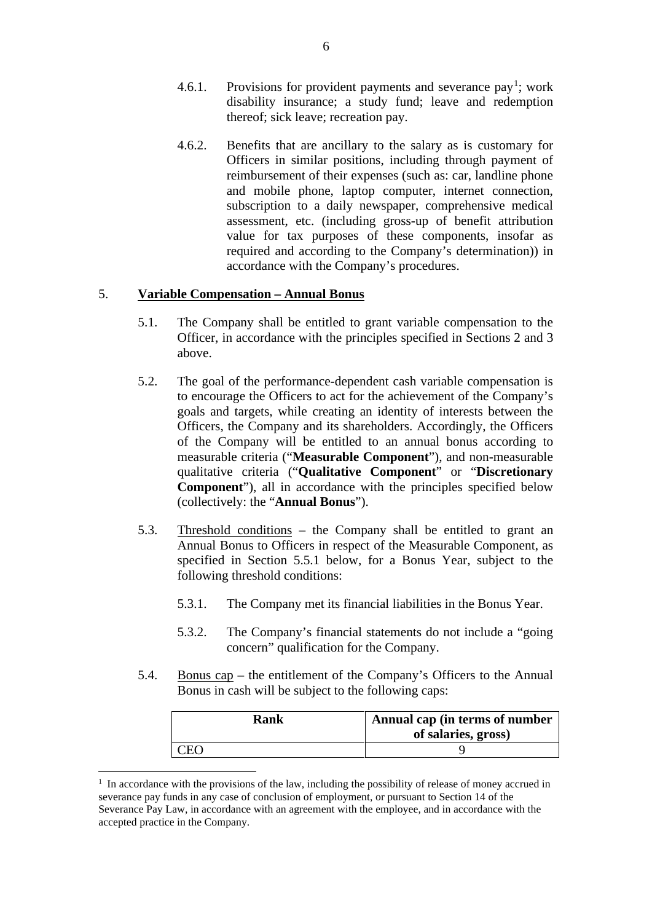- 4.6.[1](#page-26-0). Provisions for provident payments and severance pay<sup>1</sup>; work disability insurance; a study fund; leave and redemption thereof; sick leave; recreation pay.
- 4.6.2. Benefits that are ancillary to the salary as is customary for Officers in similar positions, including through payment of reimbursement of their expenses (such as: car, landline phone and mobile phone, laptop computer, internet connection, subscription to a daily newspaper, comprehensive medical assessment, etc. (including gross-up of benefit attribution value for tax purposes of these components, insofar as required and according to the Company's determination)) in accordance with the Company's procedures.

### 5. **Variable Compensation – Annual Bonus**

- 5.1. The Company shall be entitled to grant variable compensation to the Officer, in accordance with the principles specified in Sections 2 and 3 above.
- 5.2. The goal of the performance-dependent cash variable compensation is to encourage the Officers to act for the achievement of the Company's goals and targets, while creating an identity of interests between the Officers, the Company and its shareholders. Accordingly, the Officers of the Company will be entitled to an annual bonus according to measurable criteria ("**Measurable Component**"), and non-measurable qualitative criteria ("**Qualitative Component**" or "**Discretionary Component**"), all in accordance with the principles specified below (collectively: the "**Annual Bonus**").
- 5.3. Threshold conditions the Company shall be entitled to grant an Annual Bonus to Officers in respect of the Measurable Component, as specified in Section 5.5.1 below, for a Bonus Year, subject to the following threshold conditions:
	- 5.3.1. The Company met its financial liabilities in the Bonus Year.
	- 5.3.2. The Company's financial statements do not include a "going concern" qualification for the Company.
- 5.4. Bonus cap the entitlement of the Company's Officers to the Annual Bonus in cash will be subject to the following caps:

| Rank | Annual cap (in terms of number<br>of salaries, gross) |
|------|-------------------------------------------------------|
|      |                                                       |

<span id="page-26-0"></span><sup>&</sup>lt;sup>1</sup> In accordance with the provisions of the law, including the possibility of release of money accrued in severance pay funds in any case of conclusion of employment, or pursuant to Section 14 of the Severance Pay Law, in accordance with an agreement with the employee, and in accordance with the accepted practice in the Company.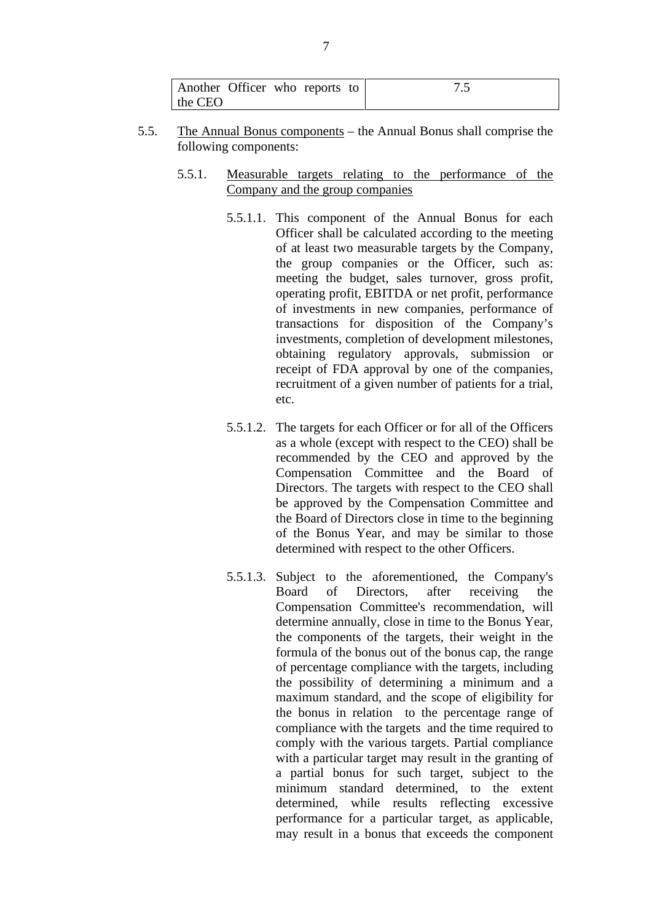| Another Officer who reports to |  |  |  |
|--------------------------------|--|--|--|
| the CEO                        |  |  |  |

- 5.5. The Annual Bonus components the Annual Bonus shall comprise the following components:
	- 5.5.1. Measurable targets relating to the performance of the Company and the group companies
		- 5.5.1.1. This component of the Annual Bonus for each Officer shall be calculated according to the meeting of at least two measurable targets by the Company, the group companies or the Officer, such as: meeting the budget, sales turnover, gross profit, operating profit, EBITDA or net profit, performance of investments in new companies, performance of transactions for disposition of the Company's investments, completion of development milestones, obtaining regulatory approvals, submission or receipt of FDA approval by one of the companies, recruitment of a given number of patients for a trial, etc.
		- 5.5.1.2. The targets for each Officer or for all of the Officers as a whole (except with respect to the CEO) shall be recommended by the CEO and approved by the Compensation Committee and the Board of Directors. The targets with respect to the CEO shall be approved by the Compensation Committee and the Board of Directors close in time to the beginning of the Bonus Year, and may be similar to those determined with respect to the other Officers.
		- 5.5.1.3. Subject to the aforementioned, the Company's Board of Directors, after receiving the Compensation Committee's recommendation, will determine annually, close in time to the Bonus Year, the components of the targets, their weight in the formula of the bonus out of the bonus cap, the range of percentage compliance with the targets, including the possibility of determining a minimum and a maximum standard, and the scope of eligibility for the bonus in relation to the percentage range of compliance with the targets and the time required to comply with the various targets. Partial compliance with a particular target may result in the granting of a partial bonus for such target, subject to the minimum standard determined, to the extent determined, while results reflecting excessive performance for a particular target, as applicable, may result in a bonus that exceeds the component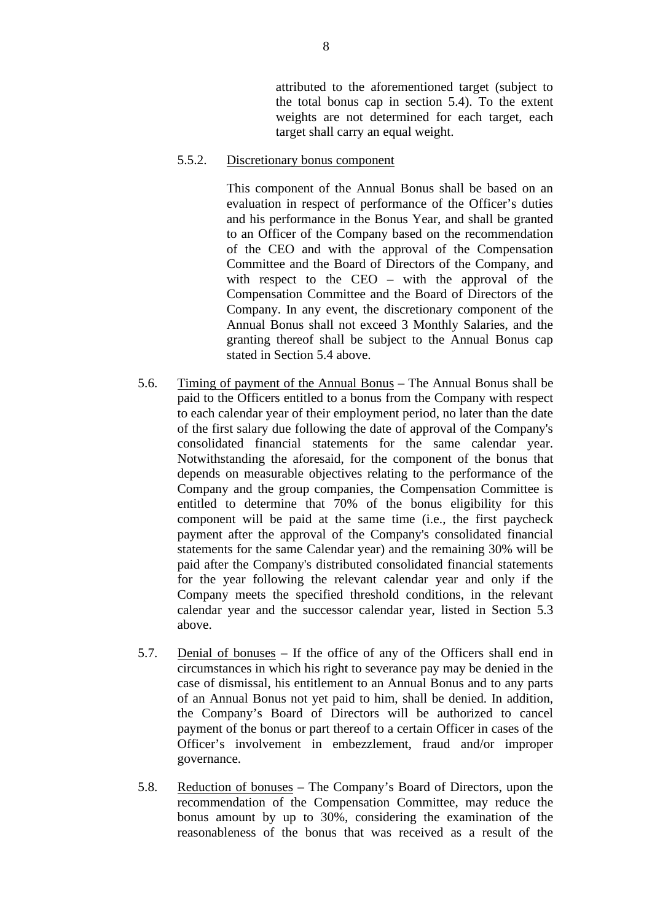attributed to the aforementioned target (subject to the total bonus cap in section 5.4). To the extent weights are not determined for each target, each target shall carry an equal weight.

#### 5.5.2. Discretionary bonus component

This component of the Annual Bonus shall be based on an evaluation in respect of performance of the Officer's duties and his performance in the Bonus Year, and shall be granted to an Officer of the Company based on the recommendation of the CEO and with the approval of the Compensation Committee and the Board of Directors of the Company, and with respect to the CEO – with the approval of the Compensation Committee and the Board of Directors of the Company. In any event, the discretionary component of the Annual Bonus shall not exceed 3 Monthly Salaries, and the granting thereof shall be subject to the Annual Bonus cap stated in Section 5.4 above.

- 5.6. Timing of payment of the Annual Bonus The Annual Bonus shall be paid to the Officers entitled to a bonus from the Company with respect to each calendar year of their employment period, no later than the date of the first salary due following the date of approval of the Company's consolidated financial statements for the same calendar year. Notwithstanding the aforesaid, for the component of the bonus that depends on measurable objectives relating to the performance of the Company and the group companies, the Compensation Committee is entitled to determine that 70% of the bonus eligibility for this component will be paid at the same time (i.e., the first paycheck payment after the approval of the Company's consolidated financial statements for the same Calendar year) and the remaining 30% will be paid after the Company's distributed consolidated financial statements for the year following the relevant calendar year and only if the Company meets the specified threshold conditions, in the relevant calendar year and the successor calendar year, listed in Section 5.3 above.
- 5.7. Denial of bonuses If the office of any of the Officers shall end in circumstances in which his right to severance pay may be denied in the case of dismissal, his entitlement to an Annual Bonus and to any parts of an Annual Bonus not yet paid to him, shall be denied. In addition, the Company's Board of Directors will be authorized to cancel payment of the bonus or part thereof to a certain Officer in cases of the Officer's involvement in embezzlement, fraud and/or improper governance.
- 5.8. Reduction of bonuses The Company's Board of Directors, upon the recommendation of the Compensation Committee, may reduce the bonus amount by up to 30%, considering the examination of the reasonableness of the bonus that was received as a result of the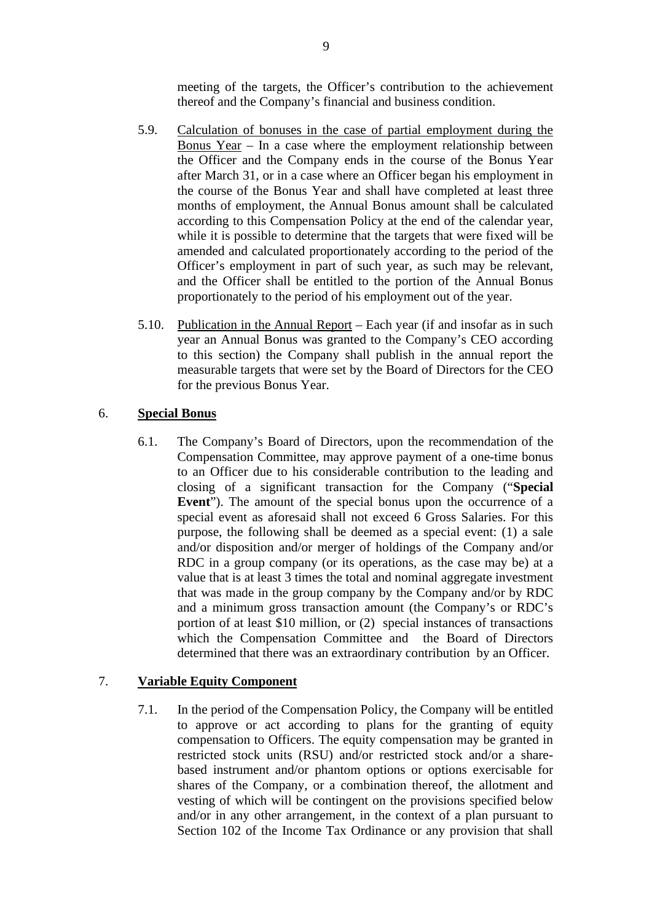meeting of the targets, the Officer's contribution to the achievement thereof and the Company's financial and business condition.

- 5.9. Calculation of bonuses in the case of partial employment during the Bonus Year – In a case where the employment relationship between the Officer and the Company ends in the course of the Bonus Year after March 31, or in a case where an Officer began his employment in the course of the Bonus Year and shall have completed at least three months of employment, the Annual Bonus amount shall be calculated according to this Compensation Policy at the end of the calendar year, while it is possible to determine that the targets that were fixed will be amended and calculated proportionately according to the period of the Officer's employment in part of such year, as such may be relevant, and the Officer shall be entitled to the portion of the Annual Bonus proportionately to the period of his employment out of the year.
- 5.10. Publication in the Annual Report Each year (if and insofar as in such year an Annual Bonus was granted to the Company's CEO according to this section) the Company shall publish in the annual report the measurable targets that were set by the Board of Directors for the CEO for the previous Bonus Year.

#### 6. **Special Bonus**

6.1. The Company's Board of Directors, upon the recommendation of the Compensation Committee, may approve payment of a one-time bonus to an Officer due to his considerable contribution to the leading and closing of a significant transaction for the Company ("**Special Event**"). The amount of the special bonus upon the occurrence of a special event as aforesaid shall not exceed 6 Gross Salaries. For this purpose, the following shall be deemed as a special event: (1) a sale and/or disposition and/or merger of holdings of the Company and/or RDC in a group company (or its operations, as the case may be) at a value that is at least 3 times the total and nominal aggregate investment that was made in the group company by the Company and/or by RDC and a minimum gross transaction amount (the Company's or RDC's portion of at least \$10 million, or (2) special instances of transactions which the Compensation Committee and the Board of Directors determined that there was an extraordinary contribution by an Officer.

### 7. **Variable Equity Component**

7.1. In the period of the Compensation Policy, the Company will be entitled to approve or act according to plans for the granting of equity compensation to Officers. The equity compensation may be granted in restricted stock units (RSU) and/or restricted stock and/or a sharebased instrument and/or phantom options or options exercisable for shares of the Company, or a combination thereof, the allotment and vesting of which will be contingent on the provisions specified below and/or in any other arrangement, in the context of a plan pursuant to Section 102 of the Income Tax Ordinance or any provision that shall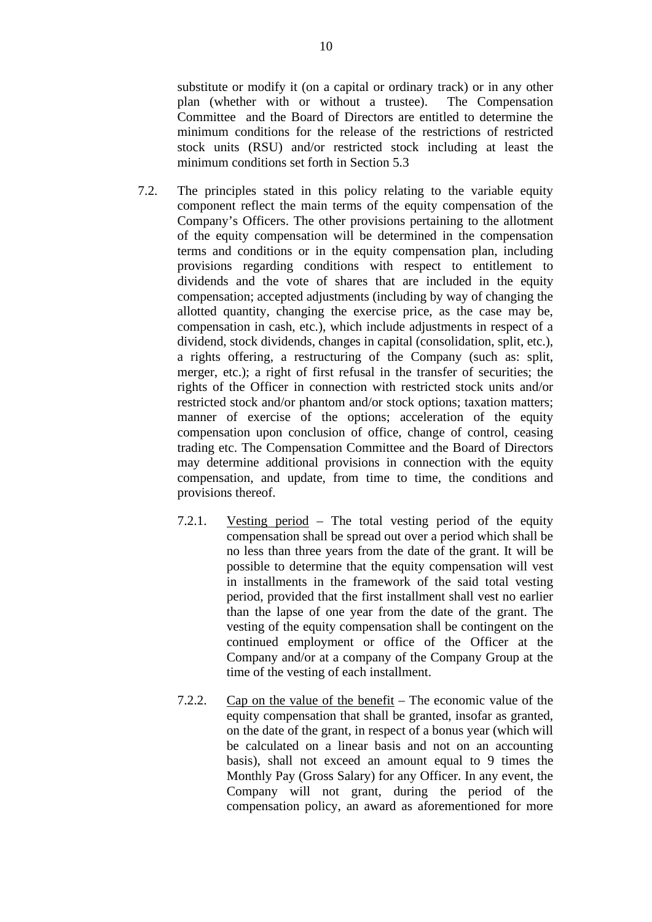substitute or modify it (on a capital or ordinary track) or in any other plan (whether with or without a trustee). The Compensation Committee and the Board of Directors are entitled to determine the minimum conditions for the release of the restrictions of restricted stock units (RSU) and/or restricted stock including at least the minimum conditions set forth in Section 5.3

- 7.2. The principles stated in this policy relating to the variable equity component reflect the main terms of the equity compensation of the Company's Officers. The other provisions pertaining to the allotment of the equity compensation will be determined in the compensation terms and conditions or in the equity compensation plan, including provisions regarding conditions with respect to entitlement to dividends and the vote of shares that are included in the equity compensation; accepted adjustments (including by way of changing the allotted quantity, changing the exercise price, as the case may be, compensation in cash, etc.), which include adjustments in respect of a dividend, stock dividends, changes in capital (consolidation, split, etc.), a rights offering, a restructuring of the Company (such as: split, merger, etc.); a right of first refusal in the transfer of securities; the rights of the Officer in connection with restricted stock units and/or restricted stock and/or phantom and/or stock options; taxation matters; manner of exercise of the options; acceleration of the equity compensation upon conclusion of office, change of control, ceasing trading etc. The Compensation Committee and the Board of Directors may determine additional provisions in connection with the equity compensation, and update, from time to time, the conditions and provisions thereof.
	- 7.2.1. Vesting period The total vesting period of the equity compensation shall be spread out over a period which shall be no less than three years from the date of the grant. It will be possible to determine that the equity compensation will vest in installments in the framework of the said total vesting period, provided that the first installment shall vest no earlier than the lapse of one year from the date of the grant. The vesting of the equity compensation shall be contingent on the continued employment or office of the Officer at the Company and/or at a company of the Company Group at the time of the vesting of each installment.
	- 7.2.2. Cap on the value of the benefit The economic value of the equity compensation that shall be granted, insofar as granted, on the date of the grant, in respect of a bonus year (which will be calculated on a linear basis and not on an accounting basis), shall not exceed an amount equal to 9 times the Monthly Pay (Gross Salary) for any Officer. In any event, the Company will not grant, during the period of the compensation policy, an award as aforementioned for more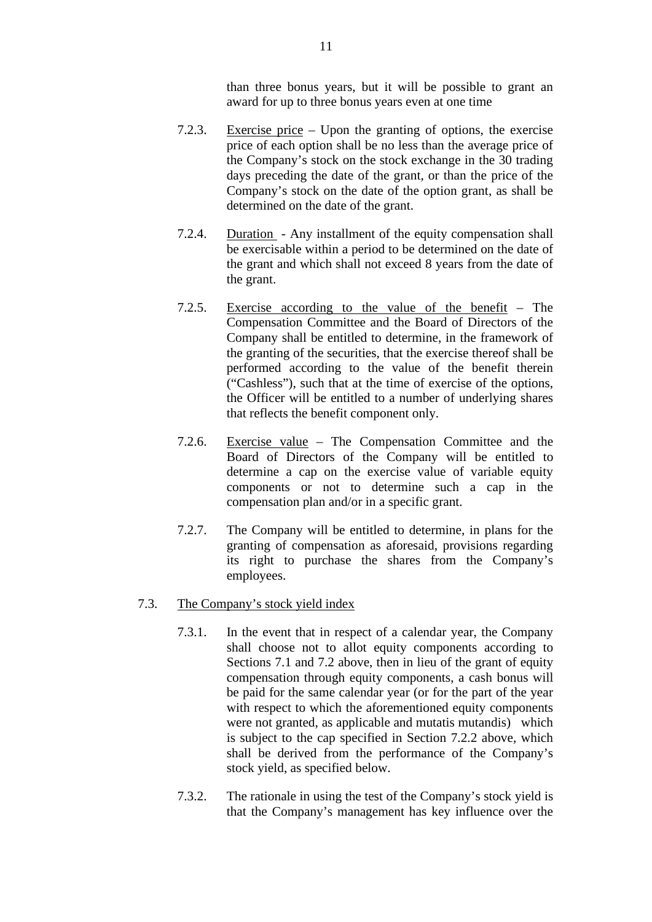than three bonus years, but it will be possible to grant an award for up to three bonus years even at one time

- 7.2.3. Exercise price Upon the granting of options, the exercise price of each option shall be no less than the average price of the Company's stock on the stock exchange in the 30 trading days preceding the date of the grant, or than the price of the Company's stock on the date of the option grant, as shall be determined on the date of the grant.
- 7.2.4. Duration Any installment of the equity compensation shall be exercisable within a period to be determined on the date of the grant and which shall not exceed 8 years from the date of the grant.
- 7.2.5. Exercise according to the value of the benefit The Compensation Committee and the Board of Directors of the Company shall be entitled to determine, in the framework of the granting of the securities, that the exercise thereof shall be performed according to the value of the benefit therein ("Cashless"), such that at the time of exercise of the options, the Officer will be entitled to a number of underlying shares that reflects the benefit component only.
- 7.2.6. Exercise value The Compensation Committee and the Board of Directors of the Company will be entitled to determine a cap on the exercise value of variable equity components or not to determine such a cap in the compensation plan and/or in a specific grant.
- 7.2.7. The Company will be entitled to determine, in plans for the granting of compensation as aforesaid, provisions regarding its right to purchase the shares from the Company's employees.

#### 7.3. The Company's stock yield index

- 7.3.1. In the event that in respect of a calendar year, the Company shall choose not to allot equity components according to Sections 7.1 and 7.2 above, then in lieu of the grant of equity compensation through equity components, a cash bonus will be paid for the same calendar year (or for the part of the year with respect to which the aforementioned equity components were not granted, as applicable and mutatis mutandis) which is subject to the cap specified in Section 7.2.2 above, which shall be derived from the performance of the Company's stock yield, as specified below.
- 7.3.2. The rationale in using the test of the Company's stock yield is that the Company's management has key influence over the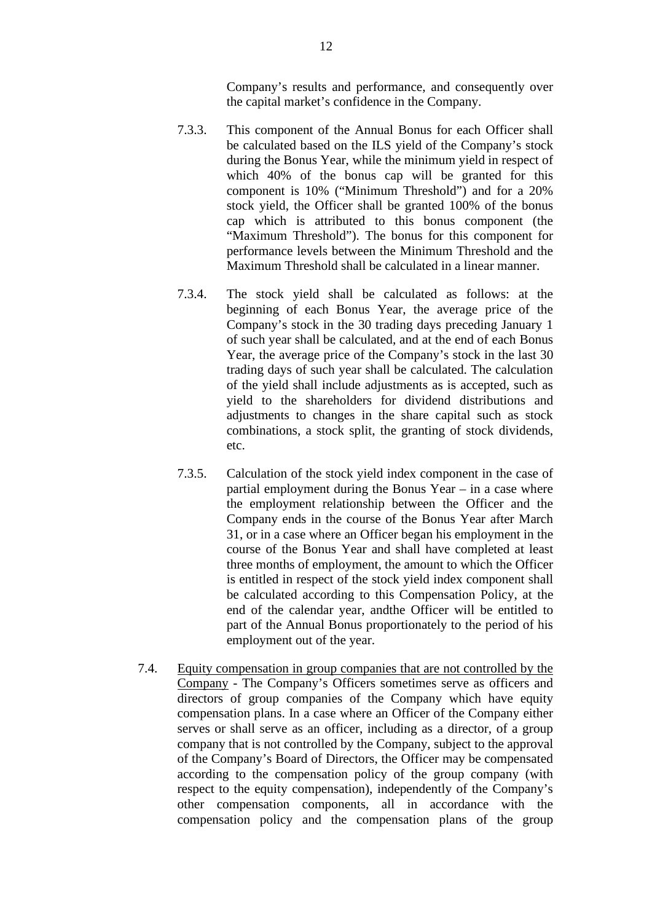Company's results and performance, and consequently over the capital market's confidence in the Company.

- 7.3.3. This component of the Annual Bonus for each Officer shall be calculated based on the ILS yield of the Company's stock during the Bonus Year, while the minimum yield in respect of which 40% of the bonus cap will be granted for this component is 10% ("Minimum Threshold") and for a 20% stock yield, the Officer shall be granted 100% of the bonus cap which is attributed to this bonus component (the "Maximum Threshold"). The bonus for this component for performance levels between the Minimum Threshold and the Maximum Threshold shall be calculated in a linear manner.
- 7.3.4. The stock yield shall be calculated as follows: at the beginning of each Bonus Year, the average price of the Company's stock in the 30 trading days preceding January 1 of such year shall be calculated, and at the end of each Bonus Year, the average price of the Company's stock in the last 30 trading days of such year shall be calculated. The calculation of the yield shall include adjustments as is accepted, such as yield to the shareholders for dividend distributions and adjustments to changes in the share capital such as stock combinations, a stock split, the granting of stock dividends, etc.
- 7.3.5. Calculation of the stock yield index component in the case of partial employment during the Bonus Year – in a case where the employment relationship between the Officer and the Company ends in the course of the Bonus Year after March 31, or in a case where an Officer began his employment in the course of the Bonus Year and shall have completed at least three months of employment, the amount to which the Officer is entitled in respect of the stock yield index component shall be calculated according to this Compensation Policy, at the end of the calendar year, andthe Officer will be entitled to part of the Annual Bonus proportionately to the period of his employment out of the year.
- 7.4. Equity compensation in group companies that are not controlled by the Company - The Company's Officers sometimes serve as officers and directors of group companies of the Company which have equity compensation plans. In a case where an Officer of the Company either serves or shall serve as an officer, including as a director, of a group company that is not controlled by the Company, subject to the approval of the Company's Board of Directors, the Officer may be compensated according to the compensation policy of the group company (with respect to the equity compensation), independently of the Company's other compensation components, all in accordance with the compensation policy and the compensation plans of the group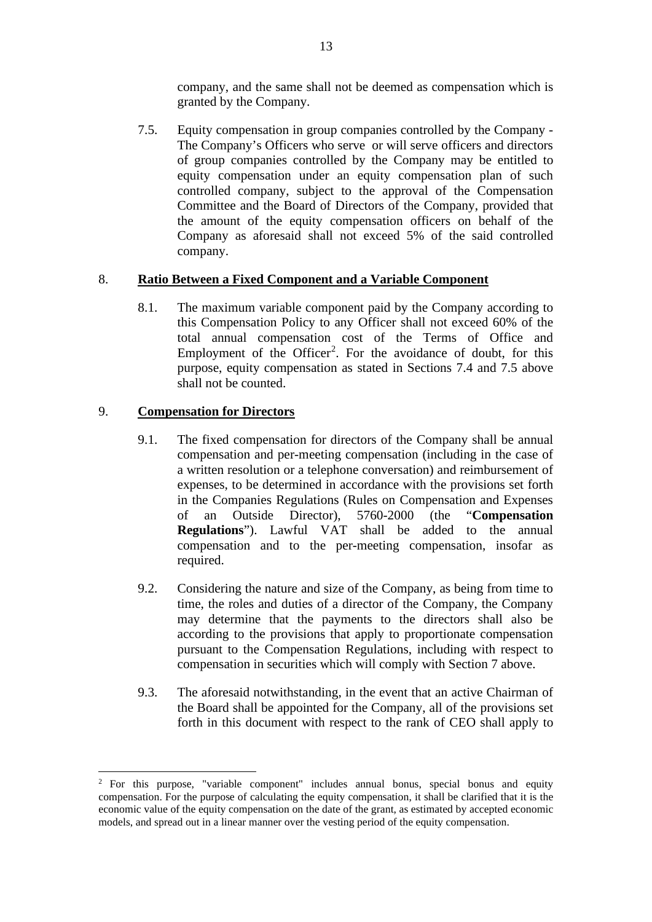company, and the same shall not be deemed as compensation which is granted by the Company.

7.5. Equity compensation in group companies controlled by the Company - The Company's Officers who serve or will serve officers and directors of group companies controlled by the Company may be entitled to equity compensation under an equity compensation plan of such controlled company, subject to the approval of the Compensation Committee and the Board of Directors of the Company, provided that the amount of the equity compensation officers on behalf of the Company as aforesaid shall not exceed 5% of the said controlled company.

### 8. **Ratio Between a Fixed Component and a Variable Component**

8.1. The maximum variable component paid by the Company according to this Compensation Policy to any Officer shall not exceed 60% of the total annual compensation cost of the Terms of Office and Employment of the Officer<sup>[2](#page-33-0)</sup>. For the avoidance of doubt, for this purpose, equity compensation as stated in Sections 7.4 and 7.5 above shall not be counted.

## 9. **Compensation for Directors**

- 9.1. The fixed compensation for directors of the Company shall be annual compensation and per-meeting compensation (including in the case of a written resolution or a telephone conversation) and reimbursement of expenses, to be determined in accordance with the provisions set forth in the Companies Regulations (Rules on Compensation and Expenses of an Outside Director), 5760-2000 (the "**Compensation Regulations**"). Lawful VAT shall be added to the annual compensation and to the per-meeting compensation, insofar as required.
- 9.2. Considering the nature and size of the Company, as being from time to time, the roles and duties of a director of the Company, the Company may determine that the payments to the directors shall also be according to the provisions that apply to proportionate compensation pursuant to the Compensation Regulations, including with respect to compensation in securities which will comply with Section 7 above.
- 9.3. The aforesaid notwithstanding, in the event that an active Chairman of the Board shall be appointed for the Company, all of the provisions set forth in this document with respect to the rank of CEO shall apply to

<span id="page-33-0"></span><sup>2</sup> For this purpose, "variable component" includes annual bonus, special bonus and equity compensation. For the purpose of calculating the equity compensation, it shall be clarified that it is the economic value of the equity compensation on the date of the grant, as estimated by accepted economic models, and spread out in a linear manner over the vesting period of the equity compensation.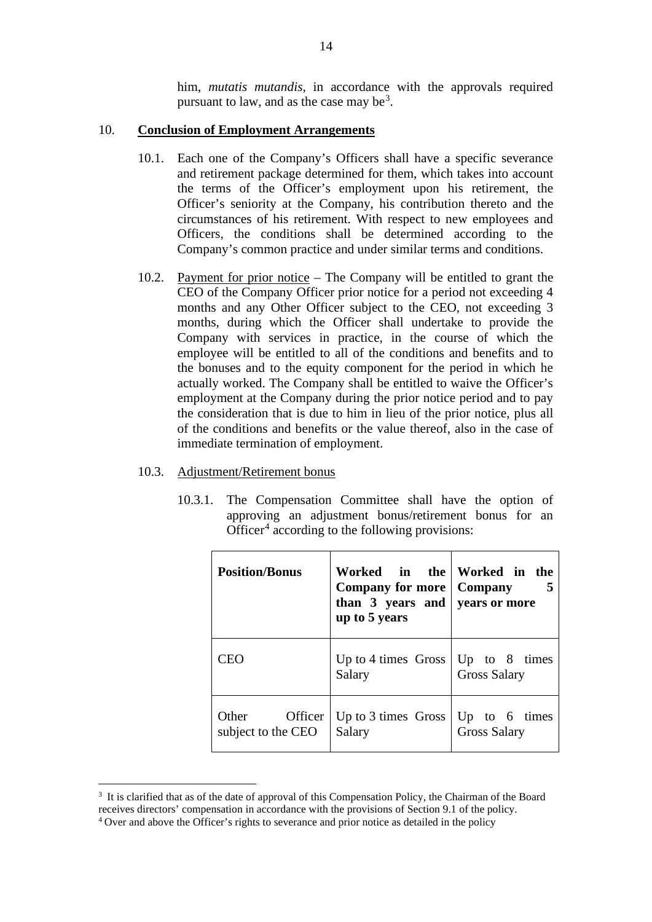him, *mutatis mutandis*, in accordance with the approvals required pursuant to law, and as the case may be<sup>[3](#page-34-0)</sup>.

#### 10. **Conclusion of Employment Arrangements**

- 10.1. Each one of the Company's Officers shall have a specific severance and retirement package determined for them, which takes into account the terms of the Officer's employment upon his retirement, the Officer's seniority at the Company, his contribution thereto and the circumstances of his retirement. With respect to new employees and Officers, the conditions shall be determined according to the Company's common practice and under similar terms and conditions.
- 10.2. Payment for prior notice The Company will be entitled to grant the CEO of the Company Officer prior notice for a period not exceeding 4 months and any Other Officer subject to the CEO, not exceeding 3 months, during which the Officer shall undertake to provide the Company with services in practice, in the course of which the employee will be entitled to all of the conditions and benefits and to the bonuses and to the equity component for the period in which he actually worked. The Company shall be entitled to waive the Officer's employment at the Company during the prior notice period and to pay the consideration that is due to him in lieu of the prior notice, plus all of the conditions and benefits or the value thereof, also in the case of immediate termination of employment.

#### 10.3. Adjustment/Retirement bonus

10.3.1. The Compensation Committee shall have the option of approving an adjustment bonus/retirement bonus for an Officer<sup>[4](#page-34-1)</sup> according to the following provisions:

| <b>Position/Bonus</b>                    | Worked in the Worked in the<br><b>Company for more</b>   Company<br>than $3$ years and vears or more<br>up to 5 years |                                           |
|------------------------------------------|-----------------------------------------------------------------------------------------------------------------------|-------------------------------------------|
| CEO                                      | Up to 4 times Gross<br>Salary                                                                                         | Up to $8$ times<br><b>Gross Salary</b>    |
| Other<br>Officer  <br>subject to the CEO | Up to 3 times Gross<br>Salary                                                                                         | Up to $6 \times 1$<br><b>Gross Salary</b> |

<span id="page-34-0"></span><sup>&</sup>lt;sup>3</sup> It is clarified that as of the date of approval of this Compensation Policy, the Chairman of the Board receives directors' compensation in accordance with the provisions of Section 9.1 of the policy.

<span id="page-34-1"></span><sup>&</sup>lt;sup>4</sup> Over and above the Officer's rights to severance and prior notice as detailed in the policy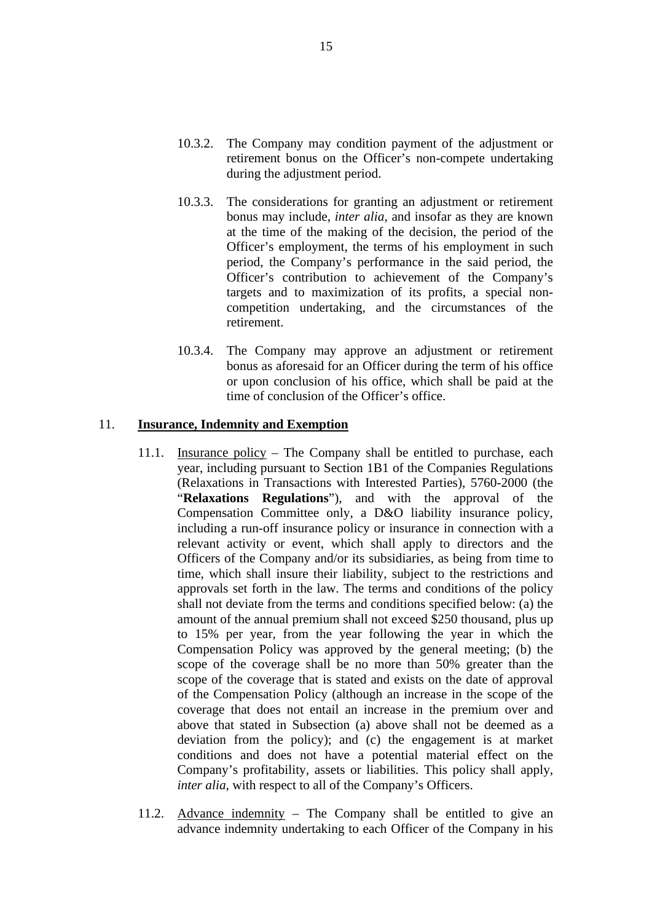- 10.3.2. The Company may condition payment of the adjustment or retirement bonus on the Officer's non-compete undertaking during the adjustment period.
- 10.3.3. The considerations for granting an adjustment or retirement bonus may include, *inter alia*, and insofar as they are known at the time of the making of the decision, the period of the Officer's employment, the terms of his employment in such period, the Company's performance in the said period, the Officer's contribution to achievement of the Company's targets and to maximization of its profits, a special noncompetition undertaking, and the circumstances of the retirement.
- 10.3.4. The Company may approve an adjustment or retirement bonus as aforesaid for an Officer during the term of his office or upon conclusion of his office, which shall be paid at the time of conclusion of the Officer's office.

#### 11. **Insurance, Indemnity and Exemption**

- 11.1. Insurance policy The Company shall be entitled to purchase, each year, including pursuant to Section 1B1 of the Companies Regulations (Relaxations in Transactions with Interested Parties), 5760-2000 (the "**Relaxations Regulations**"), and with the approval of the Compensation Committee only, a D&O liability insurance policy, including a run-off insurance policy or insurance in connection with a relevant activity or event, which shall apply to directors and the Officers of the Company and/or its subsidiaries, as being from time to time, which shall insure their liability, subject to the restrictions and approvals set forth in the law. The terms and conditions of the policy shall not deviate from the terms and conditions specified below: (a) the amount of the annual premium shall not exceed \$250 thousand, plus up to 15% per year, from the year following the year in which the Compensation Policy was approved by the general meeting; (b) the scope of the coverage shall be no more than 50% greater than the scope of the coverage that is stated and exists on the date of approval of the Compensation Policy (although an increase in the scope of the coverage that does not entail an increase in the premium over and above that stated in Subsection (a) above shall not be deemed as a deviation from the policy); and (c) the engagement is at market conditions and does not have a potential material effect on the Company's profitability, assets or liabilities. This policy shall apply, *inter alia*, with respect to all of the Company's Officers.
- 11.2. Advance indemnity The Company shall be entitled to give an advance indemnity undertaking to each Officer of the Company in his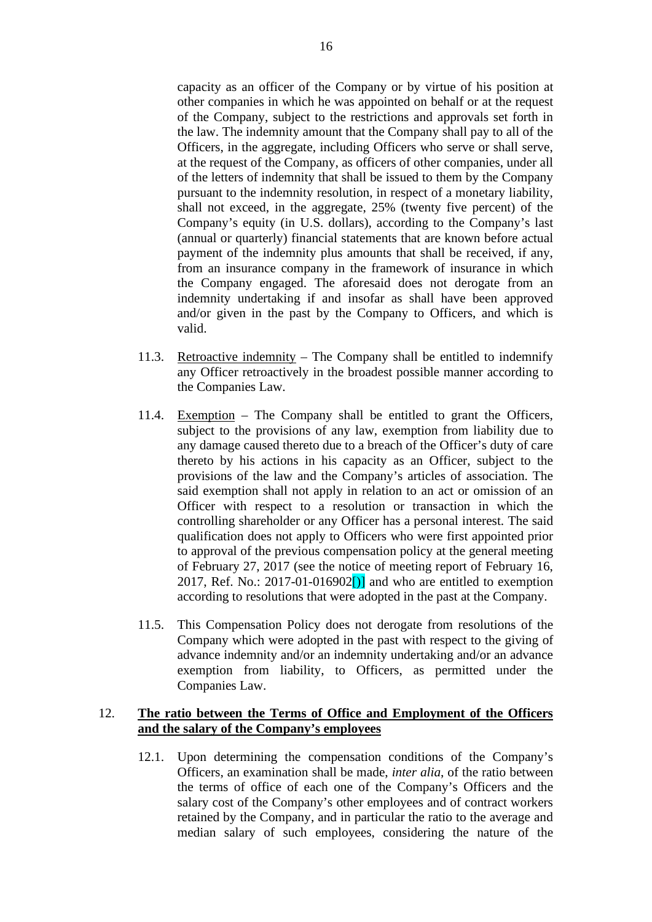capacity as an officer of the Company or by virtue of his position at other companies in which he was appointed on behalf or at the request of the Company, subject to the restrictions and approvals set forth in the law. The indemnity amount that the Company shall pay to all of the Officers, in the aggregate, including Officers who serve or shall serve, at the request of the Company, as officers of other companies, under all of the letters of indemnity that shall be issued to them by the Company pursuant to the indemnity resolution, in respect of a monetary liability, shall not exceed, in the aggregate, 25% (twenty five percent) of the Company's equity (in U.S. dollars), according to the Company's last (annual or quarterly) financial statements that are known before actual payment of the indemnity plus amounts that shall be received, if any, from an insurance company in the framework of insurance in which the Company engaged. The aforesaid does not derogate from an indemnity undertaking if and insofar as shall have been approved and/or given in the past by the Company to Officers, and which is valid.

- 11.3. Retroactive indemnity The Company shall be entitled to indemnify any Officer retroactively in the broadest possible manner according to the Companies Law.
- 11.4. Exemption The Company shall be entitled to grant the Officers, subject to the provisions of any law, exemption from liability due to any damage caused thereto due to a breach of the Officer's duty of care thereto by his actions in his capacity as an Officer, subject to the provisions of the law and the Company's articles of association. The said exemption shall not apply in relation to an act or omission of an Officer with respect to a resolution or transaction in which the controlling shareholder or any Officer has a personal interest. The said qualification does not apply to Officers who were first appointed prior to approval of the previous compensation policy at the general meeting of February 27, 2017 (see the notice of meeting report of February 16, 2017, Ref. No.: 2017-01-016902 $[$ ] and who are entitled to exemption according to resolutions that were adopted in the past at the Company.
- 11.5. This Compensation Policy does not derogate from resolutions of the Company which were adopted in the past with respect to the giving of advance indemnity and/or an indemnity undertaking and/or an advance exemption from liability, to Officers, as permitted under the Companies Law.

### 12. **The ratio between the Terms of Office and Employment of the Officers and the salary of the Company's employees**

12.1. Upon determining the compensation conditions of the Company's Officers, an examination shall be made, *inter alia*, of the ratio between the terms of office of each one of the Company's Officers and the salary cost of the Company's other employees and of contract workers retained by the Company, and in particular the ratio to the average and median salary of such employees, considering the nature of the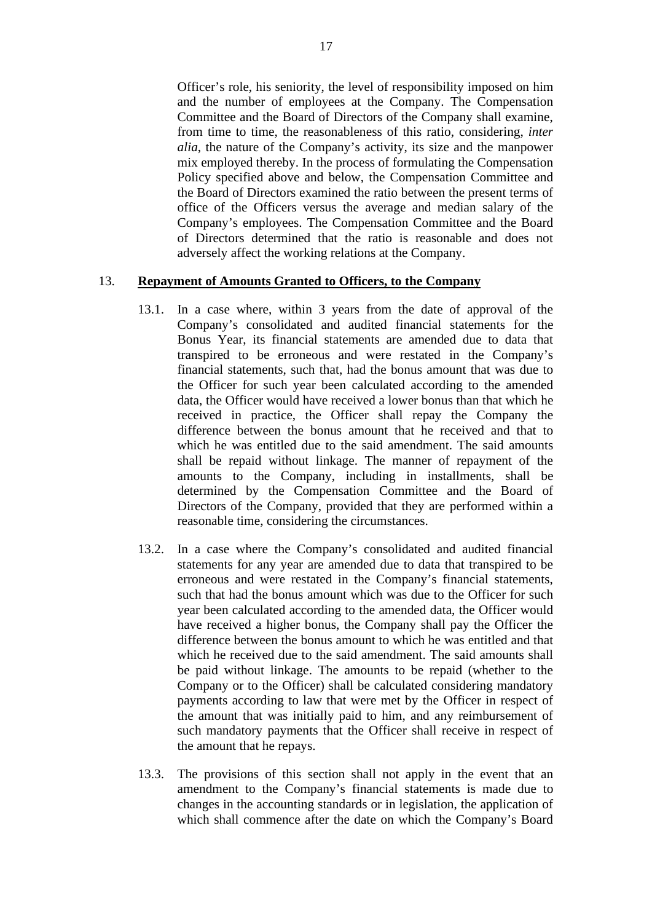Officer's role, his seniority, the level of responsibility imposed on him and the number of employees at the Company. The Compensation Committee and the Board of Directors of the Company shall examine, from time to time, the reasonableness of this ratio, considering, *inter alia*, the nature of the Company's activity, its size and the manpower mix employed thereby. In the process of formulating the Compensation Policy specified above and below, the Compensation Committee and the Board of Directors examined the ratio between the present terms of office of the Officers versus the average and median salary of the Company's employees. The Compensation Committee and the Board of Directors determined that the ratio is reasonable and does not adversely affect the working relations at the Company.

#### 13. **Repayment of Amounts Granted to Officers, to the Company**

- 13.1. In a case where, within 3 years from the date of approval of the Company's consolidated and audited financial statements for the Bonus Year, its financial statements are amended due to data that transpired to be erroneous and were restated in the Company's financial statements, such that, had the bonus amount that was due to the Officer for such year been calculated according to the amended data, the Officer would have received a lower bonus than that which he received in practice, the Officer shall repay the Company the difference between the bonus amount that he received and that to which he was entitled due to the said amendment. The said amounts shall be repaid without linkage. The manner of repayment of the amounts to the Company, including in installments, shall be determined by the Compensation Committee and the Board of Directors of the Company, provided that they are performed within a reasonable time, considering the circumstances.
- 13.2. In a case where the Company's consolidated and audited financial statements for any year are amended due to data that transpired to be erroneous and were restated in the Company's financial statements, such that had the bonus amount which was due to the Officer for such year been calculated according to the amended data, the Officer would have received a higher bonus, the Company shall pay the Officer the difference between the bonus amount to which he was entitled and that which he received due to the said amendment. The said amounts shall be paid without linkage. The amounts to be repaid (whether to the Company or to the Officer) shall be calculated considering mandatory payments according to law that were met by the Officer in respect of the amount that was initially paid to him, and any reimbursement of such mandatory payments that the Officer shall receive in respect of the amount that he repays.
- 13.3. The provisions of this section shall not apply in the event that an amendment to the Company's financial statements is made due to changes in the accounting standards or in legislation, the application of which shall commence after the date on which the Company's Board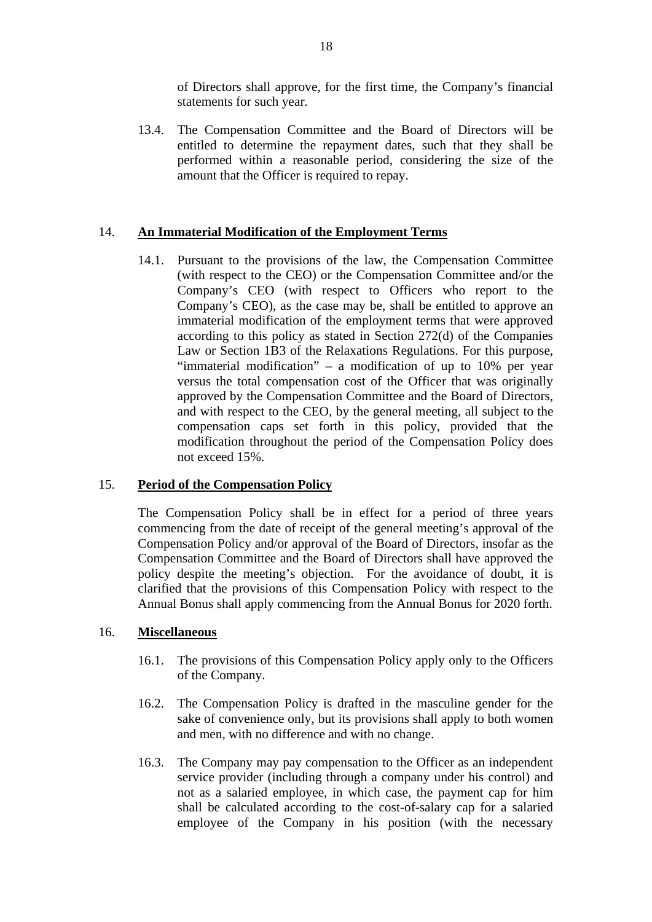of Directors shall approve, for the first time, the Company's financial statements for such year.

13.4. The Compensation Committee and the Board of Directors will be entitled to determine the repayment dates, such that they shall be performed within a reasonable period, considering the size of the amount that the Officer is required to repay.

#### 14. **An Immaterial Modification of the Employment Terms**

14.1. Pursuant to the provisions of the law, the Compensation Committee (with respect to the CEO) or the Compensation Committee and/or the Company's CEO (with respect to Officers who report to the Company's CEO), as the case may be, shall be entitled to approve an immaterial modification of the employment terms that were approved according to this policy as stated in Section 272(d) of the Companies Law or Section 1B3 of the Relaxations Regulations. For this purpose, "immaterial modification" – a modification of up to 10% per year versus the total compensation cost of the Officer that was originally approved by the Compensation Committee and the Board of Directors, and with respect to the CEO, by the general meeting, all subject to the compensation caps set forth in this policy, provided that the modification throughout the period of the Compensation Policy does not exceed 15%.

#### 15. **Period of the Compensation Policy**

The Compensation Policy shall be in effect for a period of three years commencing from the date of receipt of the general meeting's approval of the Compensation Policy and/or approval of the Board of Directors, insofar as the Compensation Committee and the Board of Directors shall have approved the policy despite the meeting's objection. For the avoidance of doubt, it is clarified that the provisions of this Compensation Policy with respect to the Annual Bonus shall apply commencing from the Annual Bonus for 2020 forth.

#### 16. **Miscellaneous**

- 16.1. The provisions of this Compensation Policy apply only to the Officers of the Company.
- 16.2. The Compensation Policy is drafted in the masculine gender for the sake of convenience only, but its provisions shall apply to both women and men, with no difference and with no change.
- 16.3. The Company may pay compensation to the Officer as an independent service provider (including through a company under his control) and not as a salaried employee, in which case, the payment cap for him shall be calculated according to the cost-of-salary cap for a salaried employee of the Company in his position (with the necessary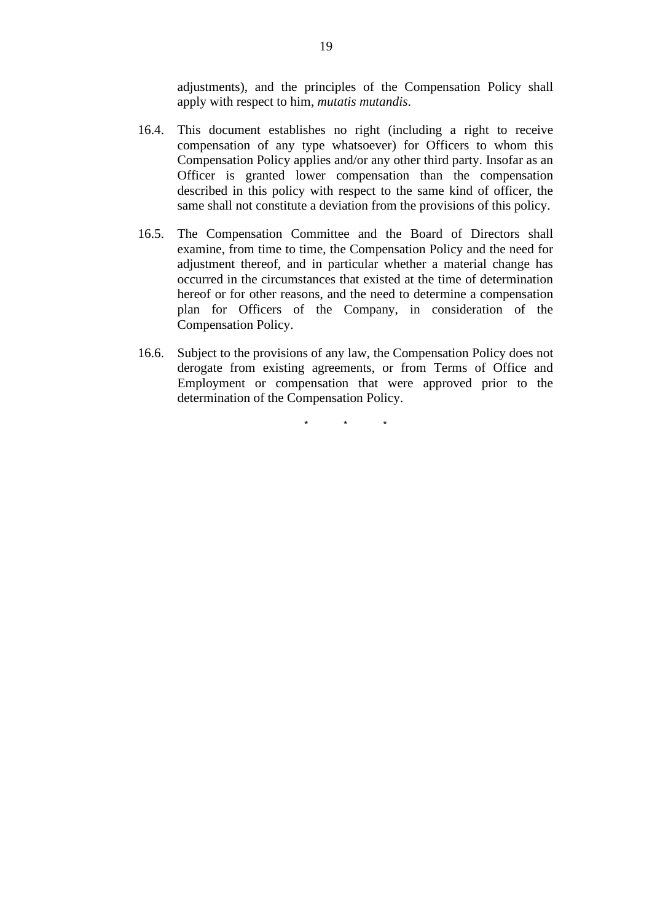adjustments), and the principles of the Compensation Policy shall apply with respect to him, *mutatis mutandis*.

- 16.4. This document establishes no right (including a right to receive compensation of any type whatsoever) for Officers to whom this Compensation Policy applies and/or any other third party. Insofar as an Officer is granted lower compensation than the compensation described in this policy with respect to the same kind of officer, the same shall not constitute a deviation from the provisions of this policy.
- 16.5. The Compensation Committee and the Board of Directors shall examine, from time to time, the Compensation Policy and the need for adjustment thereof, and in particular whether a material change has occurred in the circumstances that existed at the time of determination hereof or for other reasons, and the need to determine a compensation plan for Officers of the Company, in consideration of the Compensation Policy.
- 16.6. Subject to the provisions of any law, the Compensation Policy does not derogate from existing agreements, or from Terms of Office and Employment or compensation that were approved prior to the determination of the Compensation Policy.

\* \* \*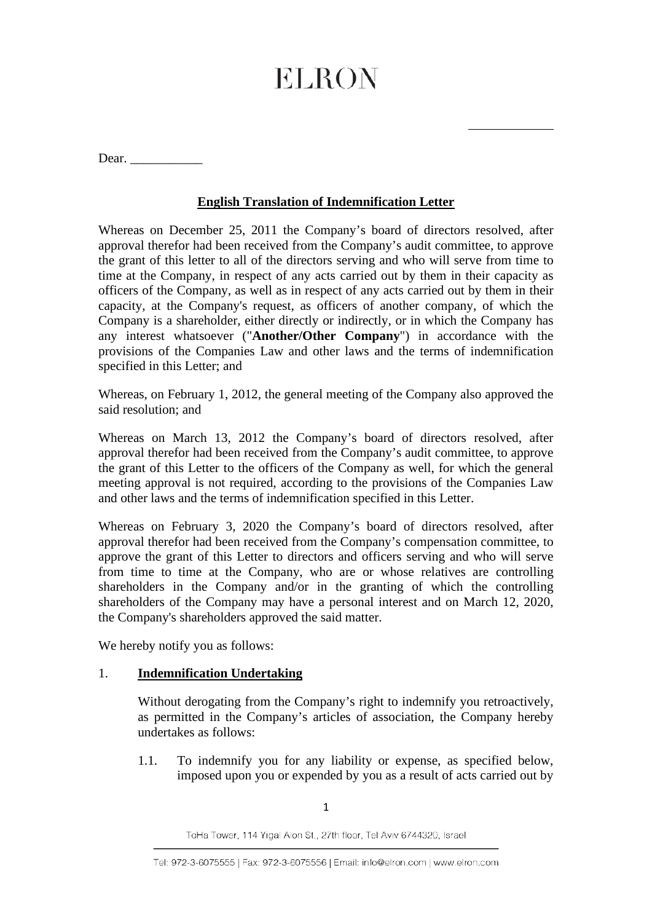$\overline{a}$ 

Dear. \_\_\_\_\_\_\_\_\_\_\_

## **English Translation of Indemnification Letter**

Whereas on December 25, 2011 the Company's board of directors resolved, after approval therefor had been received from the Company's audit committee, to approve the grant of this letter to all of the directors serving and who will serve from time to time at the Company, in respect of any acts carried out by them in their capacity as officers of the Company, as well as in respect of any acts carried out by them in their capacity, at the Company's request, as officers of another company, of which the Company is a shareholder, either directly or indirectly, or in which the Company has any interest whatsoever ("**Another/Other Company**") in accordance with the provisions of the Companies Law and other laws and the terms of indemnification specified in this Letter; and

Whereas, on February 1, 2012, the general meeting of the Company also approved the said resolution; and

Whereas on March 13, 2012 the Company's board of directors resolved, after approval therefor had been received from the Company's audit committee, to approve the grant of this Letter to the officers of the Company as well, for which the general meeting approval is not required, according to the provisions of the Companies Law and other laws and the terms of indemnification specified in this Letter.

Whereas on February 3, 2020 the Company's board of directors resolved, after approval therefor had been received from the Company's compensation committee, to approve the grant of this Letter to directors and officers serving and who will serve from time to time at the Company, who are or whose relatives are controlling shareholders in the Company and/or in the granting of which the controlling shareholders of the Company may have a personal interest and on March 12, 2020, the Company's shareholders approved the said matter.

We hereby notify you as follows:

## 1. **Indemnification Undertaking**

Without derogating from the Company's right to indemnify you retroactively, as permitted in the Company's articles of association, the Company hereby undertakes as follows:

1.1. To indemnify you for any liability or expense, as specified below, imposed upon you or expended by you as a result of acts carried out by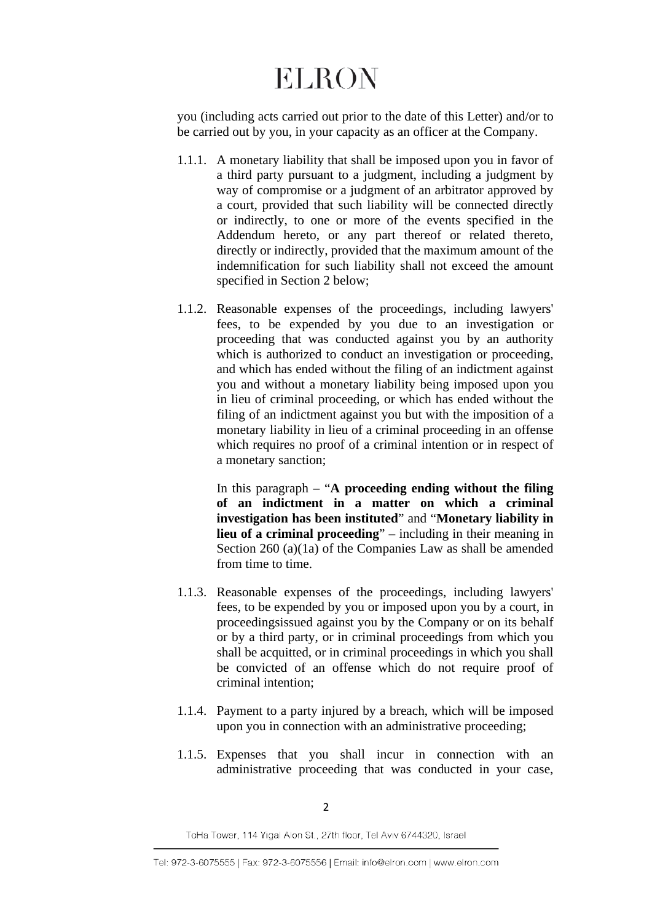you (including acts carried out prior to the date of this Letter) and/or to be carried out by you, in your capacity as an officer at the Company.

- 1.1.1. A monetary liability that shall be imposed upon you in favor of a third party pursuant to a judgment, including a judgment by way of compromise or a judgment of an arbitrator approved by a court, provided that such liability will be connected directly or indirectly, to one or more of the events specified in the Addendum hereto, or any part thereof or related thereto, directly or indirectly, provided that the maximum amount of the indemnification for such liability shall not exceed the amount specified in Section 2 below;
- 1.1.2. Reasonable expenses of the proceedings, including lawyers' fees, to be expended by you due to an investigation or proceeding that was conducted against you by an authority which is authorized to conduct an investigation or proceeding, and which has ended without the filing of an indictment against you and without a monetary liability being imposed upon you in lieu of criminal proceeding, or which has ended without the filing of an indictment against you but with the imposition of a monetary liability in lieu of a criminal proceeding in an offense which requires no proof of a criminal intention or in respect of a monetary sanction;

In this paragraph – "**A proceeding ending without the filing of an indictment in a matter on which a criminal investigation has been instituted**" and "**Monetary liability in lieu of a criminal proceeding**" – including in their meaning in Section 260 (a)(1a) of the Companies Law as shall be amended from time to time.

- 1.1.3. Reasonable expenses of the proceedings, including lawyers' fees, to be expended by you or imposed upon you by a court, in proceedingsissued against you by the Company or on its behalf or by a third party, or in criminal proceedings from which you shall be acquitted, or in criminal proceedings in which you shall be convicted of an offense which do not require proof of criminal intention;
- 1.1.4. Payment to a party injured by a breach, which will be imposed upon you in connection with an administrative proceeding;
- 1.1.5. Expenses that you shall incur in connection with an administrative proceeding that was conducted in your case,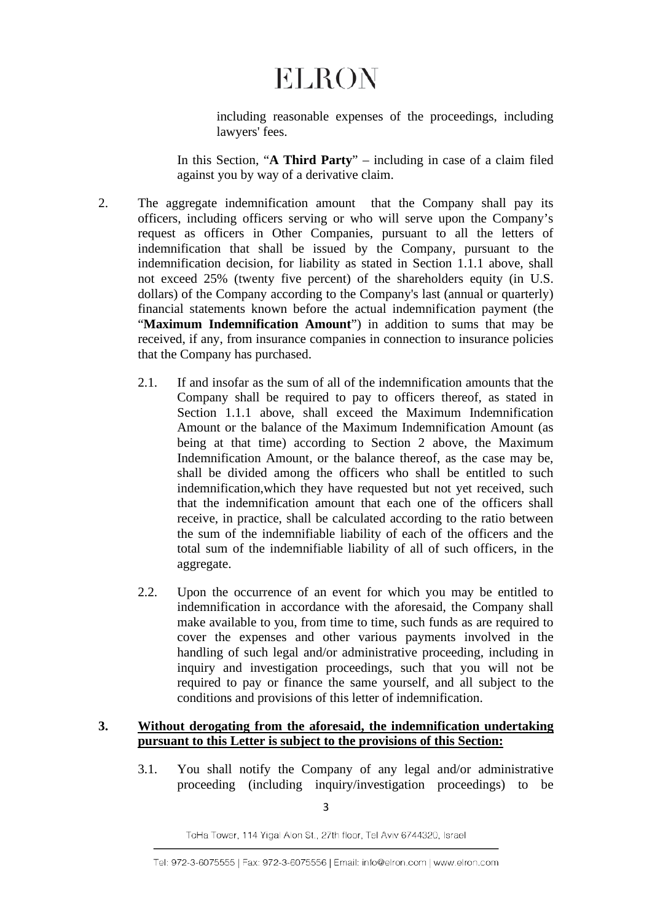including reasonable expenses of the proceedings, including lawyers' fees.

In this Section, "**A Third Party**" – including in case of a claim filed against you by way of a derivative claim.

- 2. The aggregate indemnification amount that the Company shall pay its officers, including officers serving or who will serve upon the Company's request as officers in Other Companies, pursuant to all the letters of indemnification that shall be issued by the Company, pursuant to the indemnification decision, for liability as stated in Section 1.1.1 above, shall not exceed 25% (twenty five percent) of the shareholders equity (in U.S. dollars) of the Company according to the Company's last (annual or quarterly) financial statements known before the actual indemnification payment (the "**Maximum Indemnification Amount**") in addition to sums that may be received, if any, from insurance companies in connection to insurance policies that the Company has purchased.
	- 2.1. If and insofar as the sum of all of the indemnification amounts that the Company shall be required to pay to officers thereof, as stated in Section 1.1.1 above, shall exceed the Maximum Indemnification Amount or the balance of the Maximum Indemnification Amount (as being at that time) according to Section 2 above, the Maximum Indemnification Amount, or the balance thereof, as the case may be, shall be divided among the officers who shall be entitled to such indemnification,which they have requested but not yet received, such that the indemnification amount that each one of the officers shall receive, in practice, shall be calculated according to the ratio between the sum of the indemnifiable liability of each of the officers and the total sum of the indemnifiable liability of all of such officers, in the aggregate.
	- 2.2. Upon the occurrence of an event for which you may be entitled to indemnification in accordance with the aforesaid, the Company shall make available to you, from time to time, such funds as are required to cover the expenses and other various payments involved in the handling of such legal and/or administrative proceeding, including in inquiry and investigation proceedings, such that you will not be required to pay or finance the same yourself, and all subject to the conditions and provisions of this letter of indemnification.

#### **3. Without derogating from the aforesaid, the indemnification undertaking pursuant to this Letter is subject to the provisions of this Section:**

3.1. You shall notify the Company of any legal and/or administrative proceeding (including inquiry/investigation proceedings) to be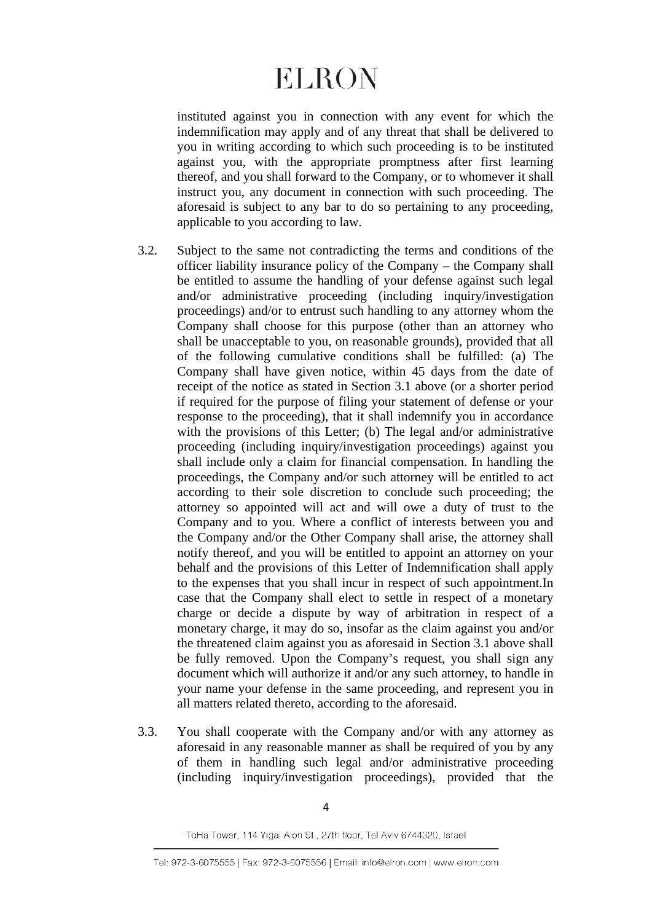instituted against you in connection with any event for which the indemnification may apply and of any threat that shall be delivered to you in writing according to which such proceeding is to be instituted against you, with the appropriate promptness after first learning thereof, and you shall forward to the Company, or to whomever it shall instruct you, any document in connection with such proceeding. The aforesaid is subject to any bar to do so pertaining to any proceeding, applicable to you according to law.

- 3.2. Subject to the same not contradicting the terms and conditions of the officer liability insurance policy of the Company – the Company shall be entitled to assume the handling of your defense against such legal and/or administrative proceeding (including inquiry/investigation proceedings) and/or to entrust such handling to any attorney whom the Company shall choose for this purpose (other than an attorney who shall be unacceptable to you, on reasonable grounds), provided that all of the following cumulative conditions shall be fulfilled: (a) The Company shall have given notice, within 45 days from the date of receipt of the notice as stated in Section 3.1 above (or a shorter period if required for the purpose of filing your statement of defense or your response to the proceeding), that it shall indemnify you in accordance with the provisions of this Letter; (b) The legal and/or administrative proceeding (including inquiry/investigation proceedings) against you shall include only a claim for financial compensation. In handling the proceedings, the Company and/or such attorney will be entitled to act according to their sole discretion to conclude such proceeding; the attorney so appointed will act and will owe a duty of trust to the Company and to you. Where a conflict of interests between you and the Company and/or the Other Company shall arise, the attorney shall notify thereof, and you will be entitled to appoint an attorney on your behalf and the provisions of this Letter of Indemnification shall apply to the expenses that you shall incur in respect of such appointment.In case that the Company shall elect to settle in respect of a monetary charge or decide a dispute by way of arbitration in respect of a monetary charge, it may do so, insofar as the claim against you and/or the threatened claim against you as aforesaid in Section 3.1 above shall be fully removed. Upon the Company's request, you shall sign any document which will authorize it and/or any such attorney, to handle in your name your defense in the same proceeding, and represent you in all matters related thereto, according to the aforesaid.
- 3.3. You shall cooperate with the Company and/or with any attorney as aforesaid in any reasonable manner as shall be required of you by any of them in handling such legal and/or administrative proceeding (including inquiry/investigation proceedings), provided that the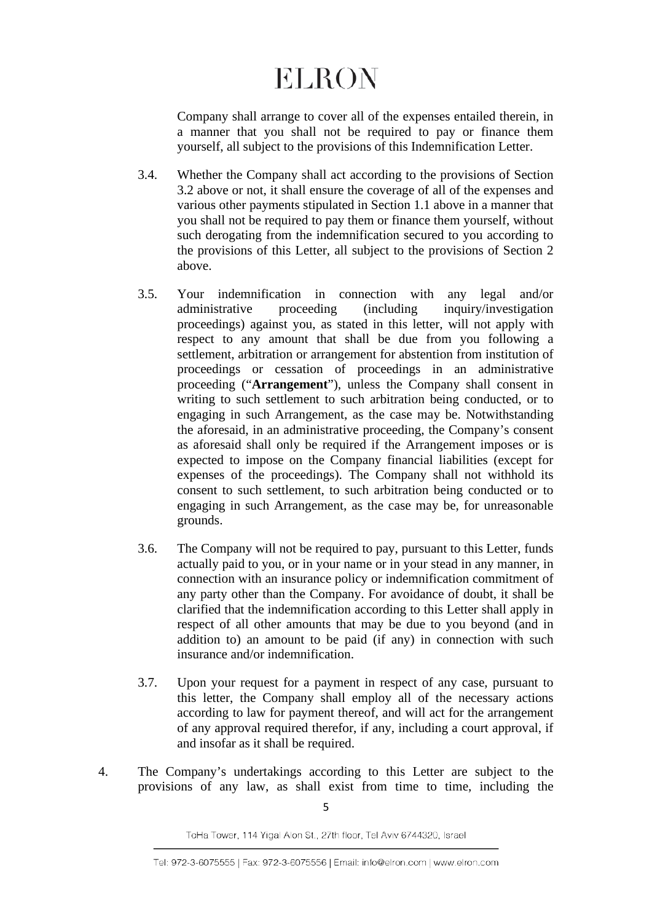Company shall arrange to cover all of the expenses entailed therein, in a manner that you shall not be required to pay or finance them yourself, all subject to the provisions of this Indemnification Letter.

- 3.4. Whether the Company shall act according to the provisions of Section 3.2 above or not, it shall ensure the coverage of all of the expenses and various other payments stipulated in Section 1.1 above in a manner that you shall not be required to pay them or finance them yourself, without such derogating from the indemnification secured to you according to the provisions of this Letter, all subject to the provisions of Section 2 above.
- 3.5. Your indemnification in connection with any legal and/or administrative proceeding (including inquiry/investigation proceedings) against you, as stated in this letter, will not apply with respect to any amount that shall be due from you following a settlement, arbitration or arrangement for abstention from institution of proceedings or cessation of proceedings in an administrative proceeding ("**Arrangement**"), unless the Company shall consent in writing to such settlement to such arbitration being conducted, or to engaging in such Arrangement, as the case may be. Notwithstanding the aforesaid, in an administrative proceeding, the Company's consent as aforesaid shall only be required if the Arrangement imposes or is expected to impose on the Company financial liabilities (except for expenses of the proceedings). The Company shall not withhold its consent to such settlement, to such arbitration being conducted or to engaging in such Arrangement, as the case may be, for unreasonable grounds.
- 3.6. The Company will not be required to pay, pursuant to this Letter, funds actually paid to you, or in your name or in your stead in any manner, in connection with an insurance policy or indemnification commitment of any party other than the Company. For avoidance of doubt, it shall be clarified that the indemnification according to this Letter shall apply in respect of all other amounts that may be due to you beyond (and in addition to) an amount to be paid (if any) in connection with such insurance and/or indemnification.
- 3.7. Upon your request for a payment in respect of any case, pursuant to this letter, the Company shall employ all of the necessary actions according to law for payment thereof, and will act for the arrangement of any approval required therefor, if any, including a court approval, if and insofar as it shall be required.
- 4. The Company's undertakings according to this Letter are subject to the provisions of any law, as shall exist from time to time, including the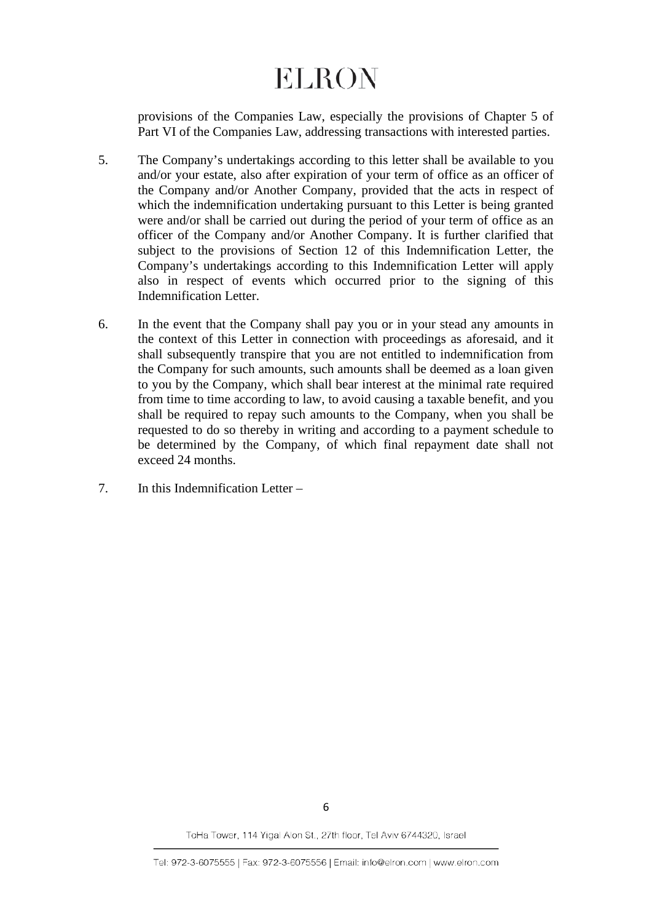provisions of the Companies Law, especially the provisions of Chapter 5 of Part VI of the Companies Law, addressing transactions with interested parties.

- 5. The Company's undertakings according to this letter shall be available to you and/or your estate, also after expiration of your term of office as an officer of the Company and/or Another Company, provided that the acts in respect of which the indemnification undertaking pursuant to this Letter is being granted were and/or shall be carried out during the period of your term of office as an officer of the Company and/or Another Company. It is further clarified that subject to the provisions of Section 12 of this Indemnification Letter, the Company's undertakings according to this Indemnification Letter will apply also in respect of events which occurred prior to the signing of this Indemnification Letter.
- 6. In the event that the Company shall pay you or in your stead any amounts in the context of this Letter in connection with proceedings as aforesaid, and it shall subsequently transpire that you are not entitled to indemnification from the Company for such amounts, such amounts shall be deemed as a loan given to you by the Company, which shall bear interest at the minimal rate required from time to time according to law, to avoid causing a taxable benefit, and you shall be required to repay such amounts to the Company, when you shall be requested to do so thereby in writing and according to a payment schedule to be determined by the Company, of which final repayment date shall not exceed 24 months.
- 7. In this Indemnification Letter –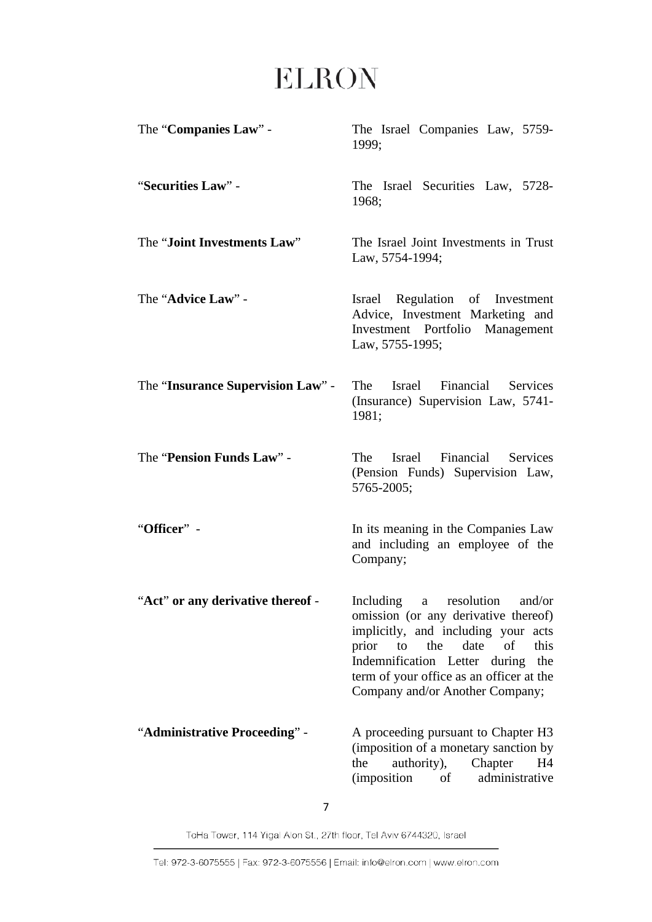| The "Companies Law" -             | The Israel Companies Law, 5759-<br>1999;                                                                                                                                                                                                                                              |
|-----------------------------------|---------------------------------------------------------------------------------------------------------------------------------------------------------------------------------------------------------------------------------------------------------------------------------------|
| "Securities Law" -                | The Israel Securities Law, 5728-<br>1968;                                                                                                                                                                                                                                             |
| The "Joint Investments Law"       | The Israel Joint Investments in Trust<br>Law, 5754-1994;                                                                                                                                                                                                                              |
| The "Advice Law" -                | Israel Regulation of Investment<br>Advice, Investment Marketing and<br>Management<br>Investment Portfolio<br>Law, 5755-1995;                                                                                                                                                          |
| The "Insurance Supervision Law" - | The<br>Israel Financial Services<br>(Insurance) Supervision Law, 5741-<br>1981;                                                                                                                                                                                                       |
| The "Pension Funds Law" -         | Israel<br>Financial Services<br>The<br>(Pension Funds) Supervision Law,<br>5765-2005;                                                                                                                                                                                                 |
| "Officer" -                       | In its meaning in the Companies Law<br>and including an employee of the<br>Company;                                                                                                                                                                                                   |
| "Act" or any derivative thereof - | Including<br>resolution<br>and/or<br>a<br>omission (or any derivative thereof)<br>implicitly, and including your acts<br>prior<br>the<br>date<br>this<br>to<br>of<br>Indemnification Letter during the<br>term of your office as an officer at the<br>Company and/or Another Company; |
| "Administrative Proceeding" -     | A proceeding pursuant to Chapter H3<br>(imposition of a monetary sanction by<br>the<br>authority),<br>Chapter<br>H4<br>administrative<br><i>(imposition</i> )<br>of                                                                                                                   |

7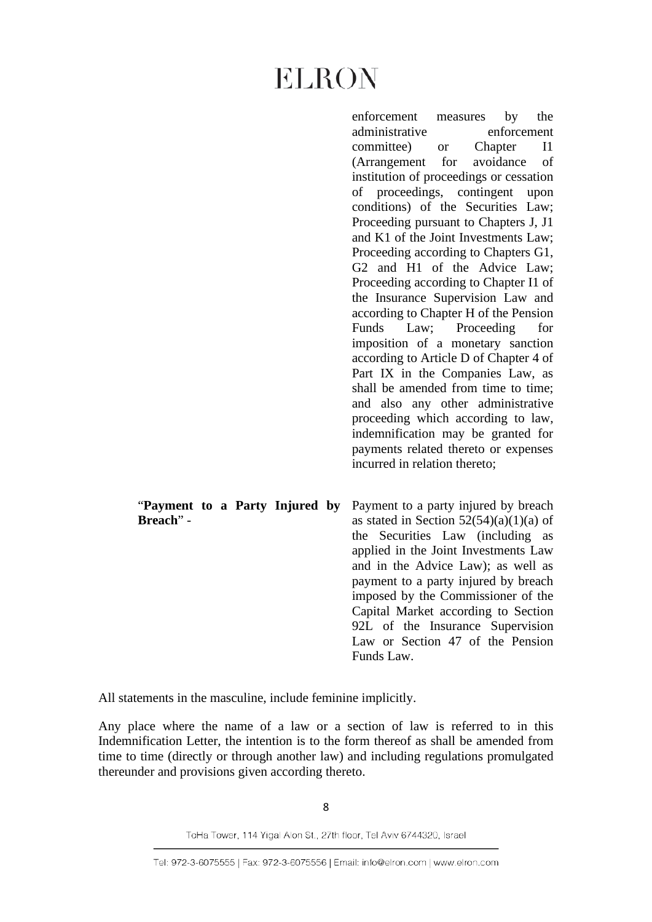enforcement measures by the administrative enforcement committee) or Chapter I1 (Arrangement for avoidance of institution of proceedings or cessation of proceedings, contingent upon conditions) of the Securities Law; Proceeding pursuant to Chapters J, J1 and K1 of the Joint Investments Law; Proceeding according to Chapters G1, G2 and H1 of the Advice Law; Proceeding according to Chapter I1 of the Insurance Supervision Law and according to Chapter H of the Pension Funds Law; Proceeding for imposition of a monetary sanction according to Article D of Chapter 4 of Part IX in the Companies Law, as shall be amended from time to time; and also any other administrative proceeding which according to law, indemnification may be granted for payments related thereto or expenses incurred in relation thereto;

| "Payment to a Party Injured by<br>Breach" - |  |  | Payment to a party injured by breach<br>as stated in Section $52(54)(a)(1)(a)$ of<br>the Securities Law (including as<br>applied in the Joint Investments Law<br>and in the Advice Law); as well as<br>payment to a party injured by breach<br>imposed by the Commissioner of the<br>Capital Market according to Section<br>92L of the Insurance Supervision<br>Law or Section 47 of the Pension |
|---------------------------------------------|--|--|--------------------------------------------------------------------------------------------------------------------------------------------------------------------------------------------------------------------------------------------------------------------------------------------------------------------------------------------------------------------------------------------------|
|                                             |  |  | Funds Law.                                                                                                                                                                                                                                                                                                                                                                                       |

All statements in the masculine, include feminine implicitly.

Any place where the name of a law or a section of law is referred to in this Indemnification Letter, the intention is to the form thereof as shall be amended from time to time (directly or through another law) and including regulations promulgated thereunder and provisions given according thereto.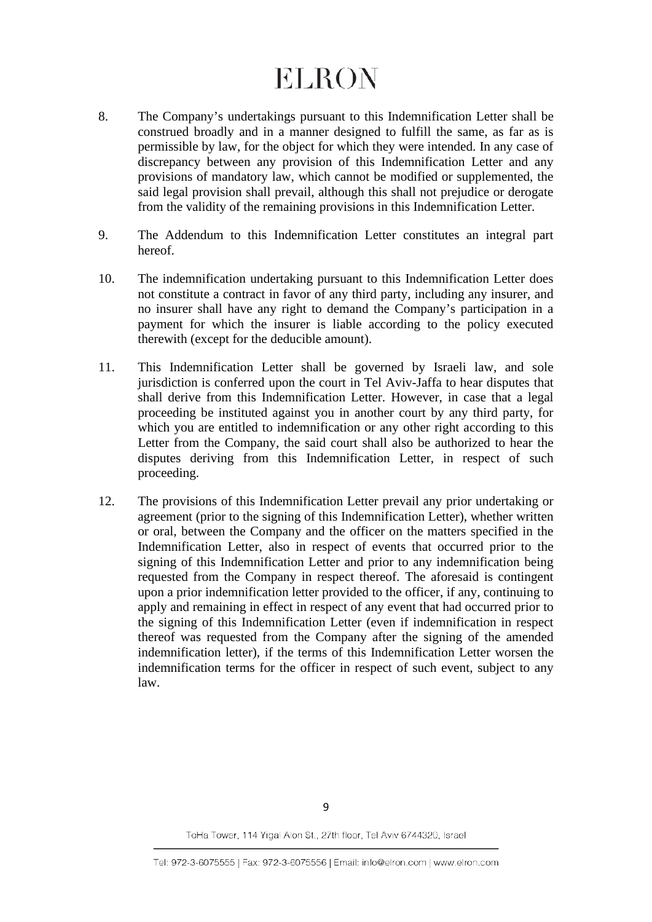- 8. The Company's undertakings pursuant to this Indemnification Letter shall be construed broadly and in a manner designed to fulfill the same, as far as is permissible by law, for the object for which they were intended. In any case of discrepancy between any provision of this Indemnification Letter and any provisions of mandatory law, which cannot be modified or supplemented, the said legal provision shall prevail, although this shall not prejudice or derogate from the validity of the remaining provisions in this Indemnification Letter.
- 9. The Addendum to this Indemnification Letter constitutes an integral part hereof.
- 10. The indemnification undertaking pursuant to this Indemnification Letter does not constitute a contract in favor of any third party, including any insurer, and no insurer shall have any right to demand the Company's participation in a payment for which the insurer is liable according to the policy executed therewith (except for the deducible amount).
- 11. This Indemnification Letter shall be governed by Israeli law, and sole jurisdiction is conferred upon the court in Tel Aviv-Jaffa to hear disputes that shall derive from this Indemnification Letter. However, in case that a legal proceeding be instituted against you in another court by any third party, for which you are entitled to indemnification or any other right according to this Letter from the Company, the said court shall also be authorized to hear the disputes deriving from this Indemnification Letter, in respect of such proceeding.
- 12. The provisions of this Indemnification Letter prevail any prior undertaking or agreement (prior to the signing of this Indemnification Letter), whether written or oral, between the Company and the officer on the matters specified in the Indemnification Letter, also in respect of events that occurred prior to the signing of this Indemnification Letter and prior to any indemnification being requested from the Company in respect thereof. The aforesaid is contingent upon a prior indemnification letter provided to the officer, if any, continuing to apply and remaining in effect in respect of any event that had occurred prior to the signing of this Indemnification Letter (even if indemnification in respect thereof was requested from the Company after the signing of the amended indemnification letter), if the terms of this Indemnification Letter worsen the indemnification terms for the officer in respect of such event, subject to any law.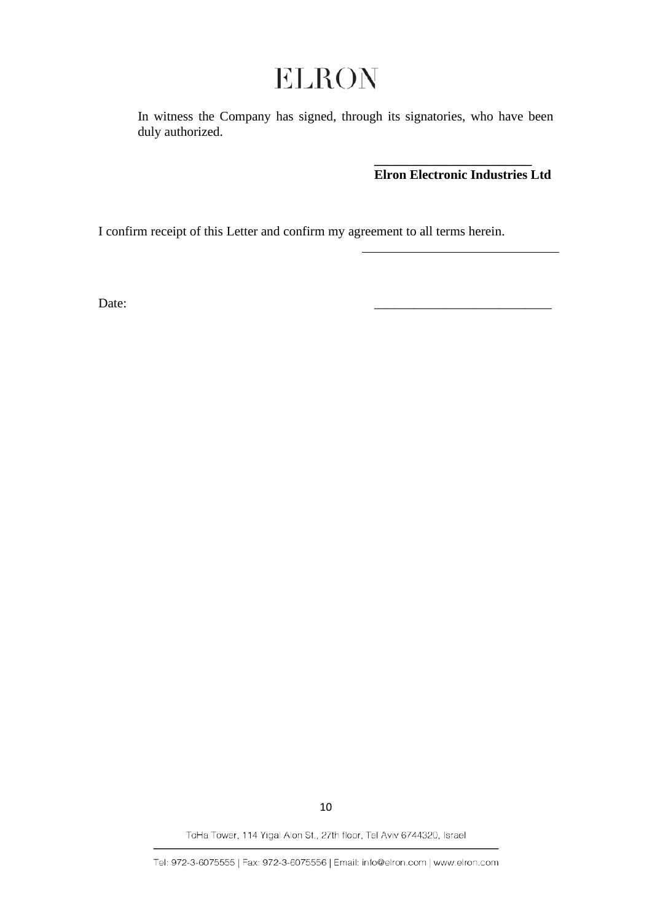In witness the Company has signed, through its signatories, who have been duly authorized.

> **\_\_\_\_\_\_\_\_\_\_\_\_\_\_\_\_\_\_\_\_\_\_\_\_ Elron Electronic Industries Ltd**

I confirm receipt of this Letter and confirm my agreement to all terms herein.

Date:

10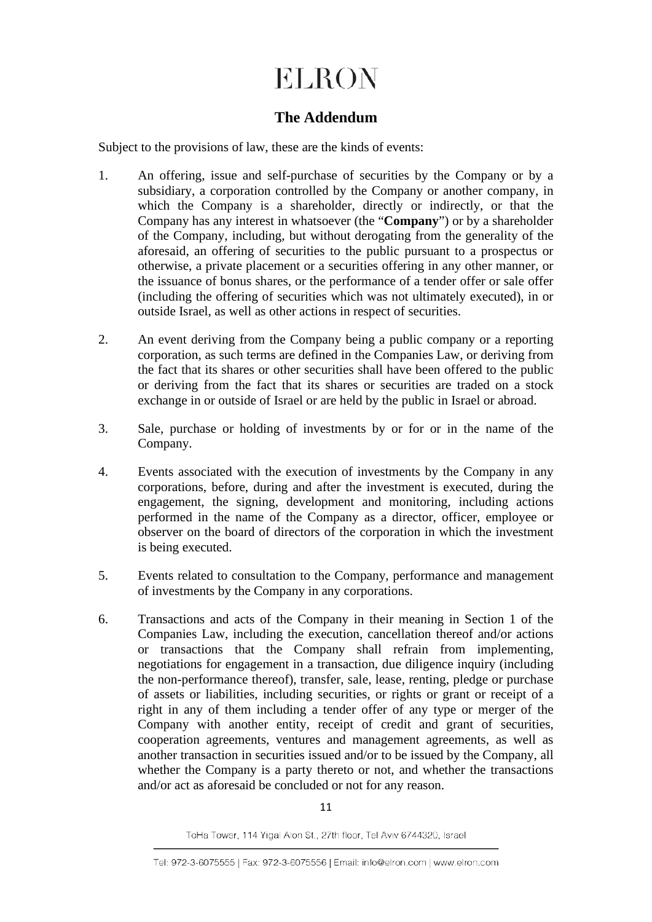## **The Addendum**

Subject to the provisions of law, these are the kinds of events:

- 1. An offering, issue and self-purchase of securities by the Company or by a subsidiary, a corporation controlled by the Company or another company, in which the Company is a shareholder, directly or indirectly, or that the Company has any interest in whatsoever (the "**Company**") or by a shareholder of the Company, including, but without derogating from the generality of the aforesaid, an offering of securities to the public pursuant to a prospectus or otherwise, a private placement or a securities offering in any other manner, or the issuance of bonus shares, or the performance of a tender offer or sale offer (including the offering of securities which was not ultimately executed), in or outside Israel, as well as other actions in respect of securities.
- 2. An event deriving from the Company being a public company or a reporting corporation, as such terms are defined in the Companies Law, or deriving from the fact that its shares or other securities shall have been offered to the public or deriving from the fact that its shares or securities are traded on a stock exchange in or outside of Israel or are held by the public in Israel or abroad.
- 3. Sale, purchase or holding of investments by or for or in the name of the Company.
- 4. Events associated with the execution of investments by the Company in any corporations, before, during and after the investment is executed, during the engagement, the signing, development and monitoring, including actions performed in the name of the Company as a director, officer, employee or observer on the board of directors of the corporation in which the investment is being executed.
- 5. Events related to consultation to the Company, performance and management of investments by the Company in any corporations.
- 6. Transactions and acts of the Company in their meaning in Section 1 of the Companies Law, including the execution, cancellation thereof and/or actions or transactions that the Company shall refrain from implementing, negotiations for engagement in a transaction, due diligence inquiry (including the non-performance thereof), transfer, sale, lease, renting, pledge or purchase of assets or liabilities, including securities, or rights or grant or receipt of a right in any of them including a tender offer of any type or merger of the Company with another entity, receipt of credit and grant of securities, cooperation agreements, ventures and management agreements, as well as another transaction in securities issued and/or to be issued by the Company, all whether the Company is a party thereto or not, and whether the transactions and/or act as aforesaid be concluded or not for any reason.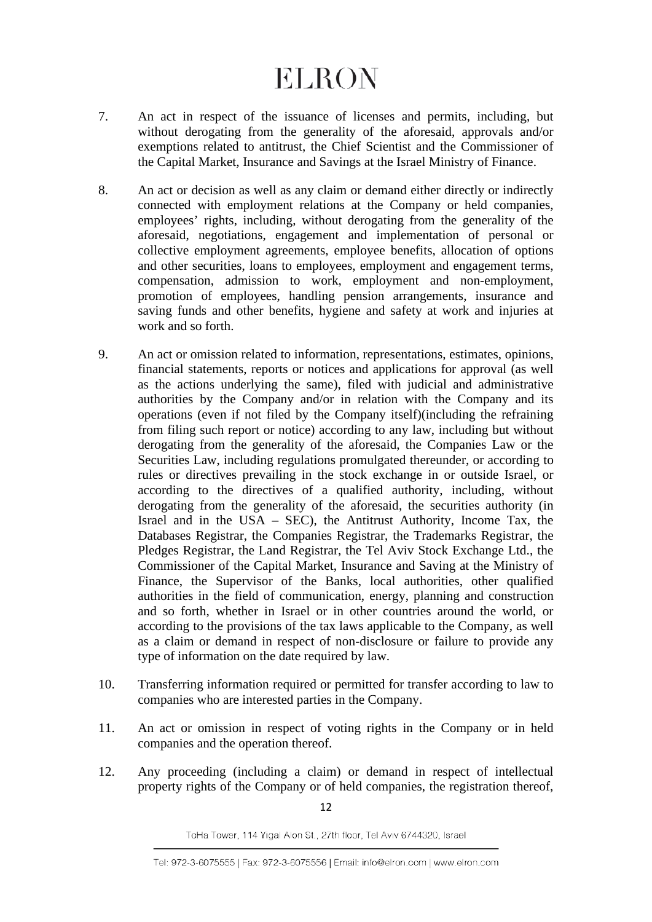- 7. An act in respect of the issuance of licenses and permits, including, but without derogating from the generality of the aforesaid, approvals and/or exemptions related to antitrust, the Chief Scientist and the Commissioner of the Capital Market, Insurance and Savings at the Israel Ministry of Finance.
- 8. An act or decision as well as any claim or demand either directly or indirectly connected with employment relations at the Company or held companies, employees' rights, including, without derogating from the generality of the aforesaid, negotiations, engagement and implementation of personal or collective employment agreements, employee benefits, allocation of options and other securities, loans to employees, employment and engagement terms, compensation, admission to work, employment and non-employment, promotion of employees, handling pension arrangements, insurance and saving funds and other benefits, hygiene and safety at work and injuries at work and so forth.
- 9. An act or omission related to information, representations, estimates, opinions, financial statements, reports or notices and applications for approval (as well as the actions underlying the same), filed with judicial and administrative authorities by the Company and/or in relation with the Company and its operations (even if not filed by the Company itself)(including the refraining from filing such report or notice) according to any law, including but without derogating from the generality of the aforesaid, the Companies Law or the Securities Law, including regulations promulgated thereunder, or according to rules or directives prevailing in the stock exchange in or outside Israel, or according to the directives of a qualified authority, including, without derogating from the generality of the aforesaid, the securities authority (in Israel and in the USA – SEC), the Antitrust Authority, Income Tax, the Databases Registrar, the Companies Registrar, the Trademarks Registrar, the Pledges Registrar, the Land Registrar, the Tel Aviv Stock Exchange Ltd., the Commissioner of the Capital Market, Insurance and Saving at the Ministry of Finance, the Supervisor of the Banks, local authorities, other qualified authorities in the field of communication, energy, planning and construction and so forth, whether in Israel or in other countries around the world, or according to the provisions of the tax laws applicable to the Company, as well as a claim or demand in respect of non-disclosure or failure to provide any type of information on the date required by law.
- 10. Transferring information required or permitted for transfer according to law to companies who are interested parties in the Company.
- 11. An act or omission in respect of voting rights in the Company or in held companies and the operation thereof.
- 12. Any proceeding (including a claim) or demand in respect of intellectual property rights of the Company or of held companies, the registration thereof,

12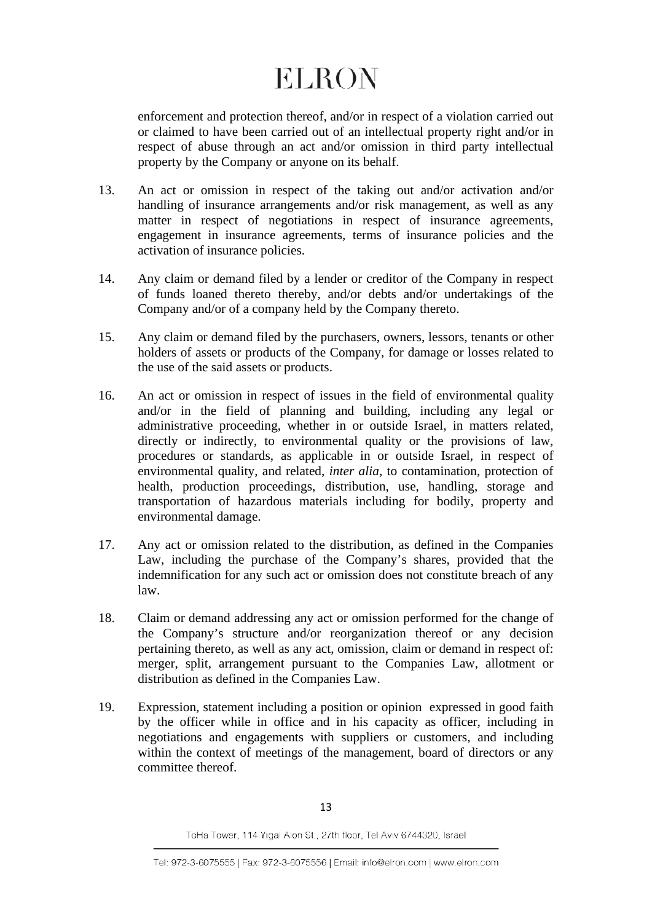enforcement and protection thereof, and/or in respect of a violation carried out or claimed to have been carried out of an intellectual property right and/or in respect of abuse through an act and/or omission in third party intellectual property by the Company or anyone on its behalf.

- 13. An act or omission in respect of the taking out and/or activation and/or handling of insurance arrangements and/or risk management, as well as any matter in respect of negotiations in respect of insurance agreements, engagement in insurance agreements, terms of insurance policies and the activation of insurance policies.
- 14. Any claim or demand filed by a lender or creditor of the Company in respect of funds loaned thereto thereby, and/or debts and/or undertakings of the Company and/or of a company held by the Company thereto.
- 15. Any claim or demand filed by the purchasers, owners, lessors, tenants or other holders of assets or products of the Company, for damage or losses related to the use of the said assets or products.
- 16. An act or omission in respect of issues in the field of environmental quality and/or in the field of planning and building, including any legal or administrative proceeding, whether in or outside Israel, in matters related, directly or indirectly, to environmental quality or the provisions of law, procedures or standards, as applicable in or outside Israel, in respect of environmental quality, and related, *inter alia*, to contamination, protection of health, production proceedings, distribution, use, handling, storage and transportation of hazardous materials including for bodily, property and environmental damage.
- 17. Any act or omission related to the distribution, as defined in the Companies Law, including the purchase of the Company's shares, provided that the indemnification for any such act or omission does not constitute breach of any law.
- 18. Claim or demand addressing any act or omission performed for the change of the Company's structure and/or reorganization thereof or any decision pertaining thereto, as well as any act, omission, claim or demand in respect of: merger, split, arrangement pursuant to the Companies Law, allotment or distribution as defined in the Companies Law.
- 19. Expression, statement including a position or opinion expressed in good faith by the officer while in office and in his capacity as officer, including in negotiations and engagements with suppliers or customers, and including within the context of meetings of the management, board of directors or any committee thereof.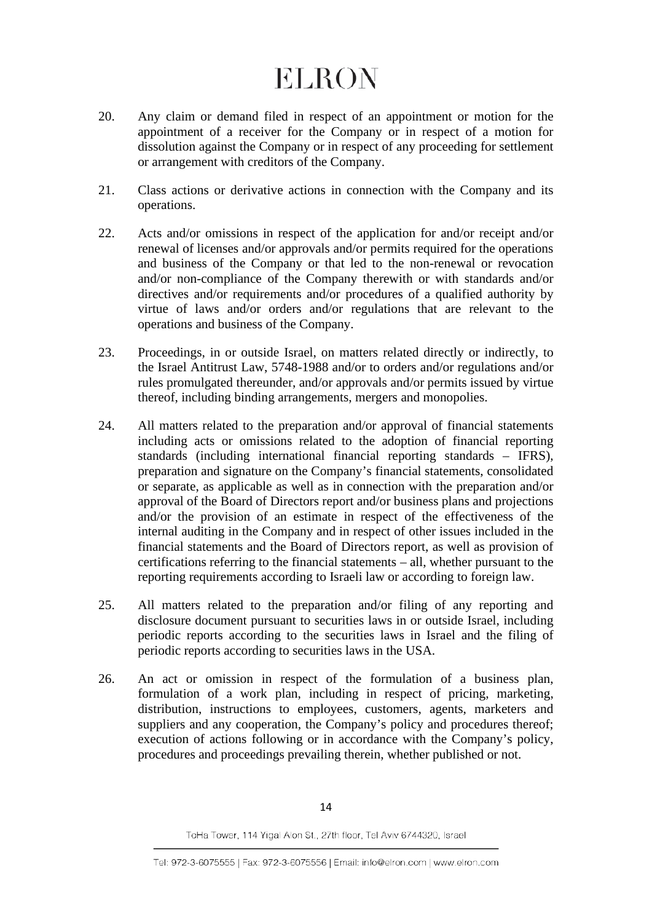- 20. Any claim or demand filed in respect of an appointment or motion for the appointment of a receiver for the Company or in respect of a motion for dissolution against the Company or in respect of any proceeding for settlement or arrangement with creditors of the Company.
- 21. Class actions or derivative actions in connection with the Company and its operations.
- 22. Acts and/or omissions in respect of the application for and/or receipt and/or renewal of licenses and/or approvals and/or permits required for the operations and business of the Company or that led to the non-renewal or revocation and/or non-compliance of the Company therewith or with standards and/or directives and/or requirements and/or procedures of a qualified authority by virtue of laws and/or orders and/or regulations that are relevant to the operations and business of the Company.
- 23. Proceedings, in or outside Israel, on matters related directly or indirectly, to the Israel Antitrust Law, 5748-1988 and/or to orders and/or regulations and/or rules promulgated thereunder, and/or approvals and/or permits issued by virtue thereof, including binding arrangements, mergers and monopolies.
- 24. All matters related to the preparation and/or approval of financial statements including acts or omissions related to the adoption of financial reporting standards (including international financial reporting standards – IFRS), preparation and signature on the Company's financial statements, consolidated or separate, as applicable as well as in connection with the preparation and/or approval of the Board of Directors report and/or business plans and projections and/or the provision of an estimate in respect of the effectiveness of the internal auditing in the Company and in respect of other issues included in the financial statements and the Board of Directors report, as well as provision of certifications referring to the financial statements – all, whether pursuant to the reporting requirements according to Israeli law or according to foreign law.
- 25. All matters related to the preparation and/or filing of any reporting and disclosure document pursuant to securities laws in or outside Israel, including periodic reports according to the securities laws in Israel and the filing of periodic reports according to securities laws in the USA.
- 26. An act or omission in respect of the formulation of a business plan, formulation of a work plan, including in respect of pricing, marketing, distribution, instructions to employees, customers, agents, marketers and suppliers and any cooperation, the Company's policy and procedures thereof; execution of actions following or in accordance with the Company's policy, procedures and proceedings prevailing therein, whether published or not.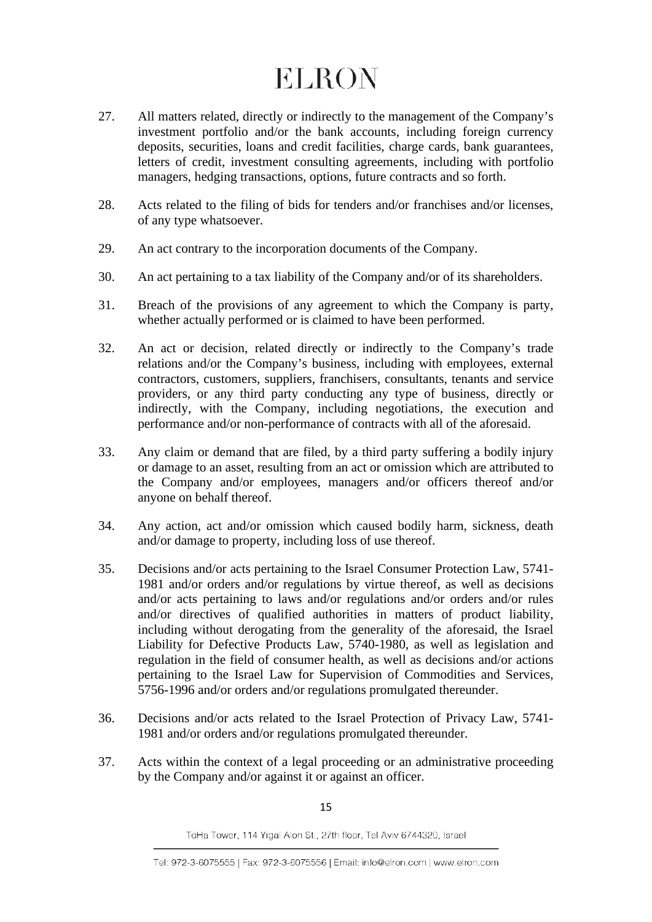- 27. All matters related, directly or indirectly to the management of the Company's investment portfolio and/or the bank accounts, including foreign currency deposits, securities, loans and credit facilities, charge cards, bank guarantees, letters of credit, investment consulting agreements, including with portfolio managers, hedging transactions, options, future contracts and so forth.
- 28. Acts related to the filing of bids for tenders and/or franchises and/or licenses, of any type whatsoever.
- 29. An act contrary to the incorporation documents of the Company.
- 30. An act pertaining to a tax liability of the Company and/or of its shareholders.
- 31. Breach of the provisions of any agreement to which the Company is party, whether actually performed or is claimed to have been performed.
- 32. An act or decision, related directly or indirectly to the Company's trade relations and/or the Company's business, including with employees, external contractors, customers, suppliers, franchisers, consultants, tenants and service providers, or any third party conducting any type of business, directly or indirectly, with the Company, including negotiations, the execution and performance and/or non-performance of contracts with all of the aforesaid.
- 33. Any claim or demand that are filed, by a third party suffering a bodily injury or damage to an asset, resulting from an act or omission which are attributed to the Company and/or employees, managers and/or officers thereof and/or anyone on behalf thereof.
- 34. Any action, act and/or omission which caused bodily harm, sickness, death and/or damage to property, including loss of use thereof.
- 35. Decisions and/or acts pertaining to the Israel Consumer Protection Law, 5741- 1981 and/or orders and/or regulations by virtue thereof, as well as decisions and/or acts pertaining to laws and/or regulations and/or orders and/or rules and/or directives of qualified authorities in matters of product liability, including without derogating from the generality of the aforesaid, the Israel Liability for Defective Products Law, 5740-1980, as well as legislation and regulation in the field of consumer health, as well as decisions and/or actions pertaining to the Israel Law for Supervision of Commodities and Services, 5756-1996 and/or orders and/or regulations promulgated thereunder.
- 36. Decisions and/or acts related to the Israel Protection of Privacy Law, 5741- 1981 and/or orders and/or regulations promulgated thereunder.
- 37. Acts within the context of a legal proceeding or an administrative proceeding by the Company and/or against it or against an officer.